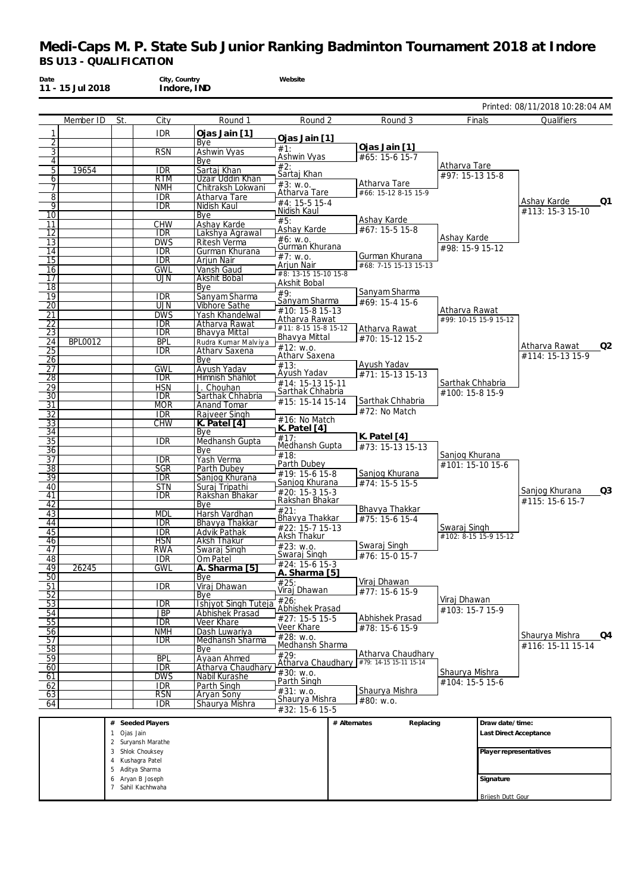| 11 - 15 Jul 2018                        |                           | Indore, IND                           |                                         |                                       |              |                                          |                                 |                        |                                               |
|-----------------------------------------|---------------------------|---------------------------------------|-----------------------------------------|---------------------------------------|--------------|------------------------------------------|---------------------------------|------------------------|-----------------------------------------------|
| Member ID                               | St.                       | City                                  | Round 1                                 | Round 2                               |              | Round 3                                  |                                 | Finals                 | Printed: 08/11/2018 10:28:04 AM<br>Qualifiers |
| 1                                       |                           | <b>IDR</b>                            | Ojas Jain [1]                           |                                       |              |                                          |                                 |                        |                                               |
| 2                                       |                           |                                       | Bye                                     | Ojas Jain [1]<br>#1:                  |              | Ojas Jain [1]                            |                                 |                        |                                               |
| 3<br>4                                  |                           | <b>RSN</b>                            | Ashwin Vyas<br>Bye                      | Ashwin Vyas                           |              | #65: 15-6 15-7                           |                                 |                        |                                               |
| 5<br>19654                              |                           | <b>IDR</b>                            | Sartaj Khan                             | #2:<br>Sartaj Khan                    |              |                                          | Atharva Tare<br>#97: 15-13 15-8 |                        |                                               |
| 6                                       |                           | <b>RTM</b><br><b>NMH</b>              | Uzair Uddin Khan<br>Chitraksh Lokwani   | #3: W.0.                              |              | Atharva Tare                             |                                 |                        |                                               |
| 8                                       |                           | <b>IDR</b>                            | Atharva Tare                            | Atharva Tare                          |              | #66: 15-12 8-15 15-9                     |                                 |                        |                                               |
| 9                                       |                           | <b>IDR</b>                            | Nidish Kaul                             | #4: 15-5 15-4<br>Nidish Kaul          |              |                                          |                                 |                        | Ashay Karde<br>Q1<br>#113: 15-3 15-10         |
| 10<br>11                                |                           | <b>CHW</b>                            | Bye<br>Ashay Karde                      | #5:                                   |              | Ashay Karde                              |                                 |                        |                                               |
| 12                                      |                           | <b>IDR</b>                            | Lakshya Agrawal                         | Ashay Karde<br>#6: w.o.               |              | #67: 15-5 15-8                           | Ashay Karde                     |                        |                                               |
| 13<br>14                                |                           | <b>DWS</b><br><b>IDR</b>              | Ritesh Verma<br>Gurman Khurana          | Gurman Khurana                        |              |                                          | #98: 15-9 15-12                 |                        |                                               |
| 15                                      |                           | <b>IDR</b>                            | Arjun Nair                              | #7: w.o.<br>Arjun Nair                |              | Gurman Khurana<br>#68: 7-15 15-13 15-13  |                                 |                        |                                               |
| 16<br>17                                |                           | <b>GWL</b><br>UJN                     | Vansh Gaud<br><b>Akshit Bobal</b>       | #8: 13-15 15-10 15-8                  |              |                                          |                                 |                        |                                               |
| 18                                      |                           |                                       | Bve                                     | Akshit Bobal<br>$\overline{49}$ :     |              | Sanyam Sharma                            |                                 |                        |                                               |
| 19<br>$\overline{20}$                   |                           | <b>IDR</b><br>UJN                     | Sanyam Sharma<br><b>Vibhore Sathe</b>   | Sanyam Sharma                         |              | #69: 15-4 15-6                           |                                 |                        |                                               |
| 21                                      |                           | <b>DWS</b>                            | Yash Khandelwal                         | #10: 15-8 15-13                       |              |                                          | Atharva Rawat                   |                        |                                               |
| $\overline{22}$                         |                           | <b>IDR</b>                            | Atharva Rawat                           | Atharva Rawat<br>#11: 8-15 15-8 15-12 |              | Atharva Rawat                            |                                 | #99: 10-15 15-9 15-12  |                                               |
| $\overline{23}$<br><b>BPL0012</b><br>24 |                           | <b>IDR</b><br><b>BPL</b>              | Bhavya Mittal<br>Rudra Kumar Malviya    | Bhavya Mittal                         |              | #70: 15-12 15-2                          |                                 |                        |                                               |
| 25                                      |                           | <b>IDR</b>                            | Athary Saxena                           | #12: W.0.<br>Athary Saxena            |              |                                          |                                 |                        | Q2<br>Atharva Rawat<br>#114: 15-13 15-9       |
| $\overline{26}$<br>27                   |                           | <b>GWL</b>                            | Bye<br>Ayush Yadav                      | #13:                                  |              | Ayush Yadav                              |                                 |                        |                                               |
| 28                                      |                           | <b>IDR</b>                            | Himnish Shahlot                         | Ayush Yadav<br>#14: 15-13 15-11       |              | #71: 15-13 15-13                         | Sarthak Chhabria                |                        |                                               |
| $\overline{29}$                         |                           | <b>HSN</b>                            | J. Chouhan                              | Sarthak Chhabria                      |              |                                          | #100: 15-8 15-9                 |                        |                                               |
| $\overline{30}$<br>31                   |                           | <b>IDR</b><br><b>MOR</b>              | Sarthak Chhabria<br><b>Anand Tomar</b>  | #15: 15-14 15-14                      |              | Sarthak Chhabria                         |                                 |                        |                                               |
| $\overline{32}$                         |                           | <b>IDR</b>                            | Rajveer Singh                           | #16: No Match                         |              | #72: No Match                            |                                 |                        |                                               |
| $\overline{33}$<br>34                   |                           | <b>CHW</b>                            | K. Patel [4]<br>Bye                     | K. Patel $[4]$                        |              |                                          |                                 |                        |                                               |
| $\overline{35}$                         |                           | <b>IDR</b>                            | Medhansh Gupta                          | $\overline{117}$ :<br>Medhansh Gupta  |              | K. Patel $[4]$<br>#73: 15-13 15-13       |                                 |                        |                                               |
| $\overline{36}$<br>$\overline{37}$      |                           | <b>IDR</b>                            | Bye<br>Yash Verma                       | #18:                                  |              |                                          | Sanjog Khurana                  |                        |                                               |
| 38                                      |                           | <b>SGR</b>                            | Parth Dubey                             | Parth Dubey<br>#19: 15-6 15-8         |              | Sanjog Khurana                           | #101: 15-10 15-6                |                        |                                               |
| 39<br>40                                |                           | $\overline{\text{IDR}}$<br><b>STN</b> | Sanjog Khurana<br>Suraj Tripathi        | Sanjog Khurana                        |              | #74: 15-5 15-5                           |                                 |                        |                                               |
| 41                                      |                           | <b>IDR</b>                            | Rakshan Bhakar                          | #20: 15-3 15-3<br>Rakshan Bhakar      |              |                                          |                                 |                        | Q3<br>Sanjog Khurana<br>#115: 15-6 15-7       |
| 42                                      |                           |                                       | Bye                                     | #21:                                  |              | Bhavya Thakkar                           |                                 |                        |                                               |
| 43<br>44                                |                           | <b>MDL</b><br><b>IDR</b>              | Harsh Vardhan<br>Bhavya Thakkar         | Bhavya Thakkar                        |              | #75: 15-6 15-4                           |                                 |                        |                                               |
| 45                                      |                           | <b>IDR</b>                            | Advik Pathak                            | #22: 15-7 15-13<br>Aksh Thakur        |              |                                          | Swarai Singh                    | #102: 8-15 15-9 15-12  |                                               |
| 46<br>47                                |                           | <b>HSN</b><br><b>RWA</b>              | Aksh Thakur<br>Swaraj Singh             | #23: w.o.                             |              | Swaraj Singh                             |                                 |                        |                                               |
| 48                                      |                           | <b>IDR</b>                            | Om Patel                                | Swaraj Singh<br>#24: 15-6 15-3        |              | $#76: 15-0 15-7$                         |                                 |                        |                                               |
| 49<br>26245<br>50                       |                           | <b>GWL</b>                            | A. Sharma [5]<br>Bye                    | A. Sharma [5]                         |              |                                          |                                 |                        |                                               |
| 51                                      |                           | <b>IDR</b>                            | Viraj Dhawan                            | #25:<br>Viraj Dhawan                  |              | Viraj Dhawan<br>#77: 15-6 15-9           |                                 |                        |                                               |
| 52<br>53                                |                           | idr                                   | Bye                                     | #26:                                  |              |                                          | Viraj Dhawan                    |                        |                                               |
| 54                                      |                           | <b>JBP</b>                            | Ishjyot Singh Tuteja<br>Abhishek Prasad | Abhishek Prasad                       |              |                                          | #103: 15-7 15-9                 |                        |                                               |
| 55                                      |                           | $\overline{\text{IDR}}$               | Veer Khare                              | $#27: 15-5 15-5$<br>Veer Khare        |              | Abhishek Prasad<br>#78: 15-6 15-9        |                                 |                        |                                               |
| 56<br>57                                |                           | <b>NMH</b><br><b>IDR</b>              | Dash Luwariya<br>Medhansh Sharma        | #28: w.o.                             |              |                                          |                                 |                        | Shaurya Mishra<br>Q4                          |
| 58                                      |                           |                                       | Bye                                     | Medhansh Sharma<br>#29:               |              | Atharva Chaudhary                        |                                 |                        | #116: 15-11 15-14                             |
| 59<br>60                                |                           | <b>BPL</b><br><b>IDR</b>              | Ayaan Ahmed<br>Atharva Chaudhary        |                                       |              | Atharva Chaudhary #79: 14-15 15-11 15-14 |                                 |                        |                                               |
| 61                                      |                           | dws                                   | Nabil Kurashe                           | #30: w.o.<br>Parth Singh              |              |                                          | Shaurya Mishra                  |                        |                                               |
| 62                                      |                           | <b>IDR</b>                            | Parth Singh                             | #31: w.o.                             |              | Shaurya Mishra                           | #104: 15-5 15-6                 |                        |                                               |
| 63<br>64                                |                           | <b>RSN</b><br>IDR                     | <b>Aryan Sony</b><br>Shaurya Mishra     | Shaurya Mishra                        |              | #80: w.o.                                |                                 |                        |                                               |
|                                         |                           |                                       |                                         | #32: 15-6 15-5                        |              |                                          |                                 |                        |                                               |
|                                         | #                         | Seeded Players                        |                                         |                                       | # Alternates | Replacing                                |                                 | Draw date/time:        |                                               |
|                                         | Ojas Jain<br>$\mathbf{1}$ | 2 Suryansh Marathe                    |                                         |                                       |              |                                          |                                 | Last Direct Acceptance |                                               |
|                                         |                           | 3 Shlok Chouksey                      |                                         |                                       |              |                                          |                                 | Player representatives |                                               |
|                                         | 4                         | Kushagra Patel<br>5 Aditya Sharma     |                                         |                                       |              |                                          |                                 |                        |                                               |
|                                         | 6                         | Aryan B Joseph                        |                                         |                                       |              |                                          |                                 | Signature              |                                               |
|                                         |                           | 7 Sahil Kachhwaha                     |                                         |                                       |              |                                          |                                 | Brijesh Dutt Gour      |                                               |
|                                         |                           |                                       |                                         |                                       |              |                                          |                                 |                        |                                               |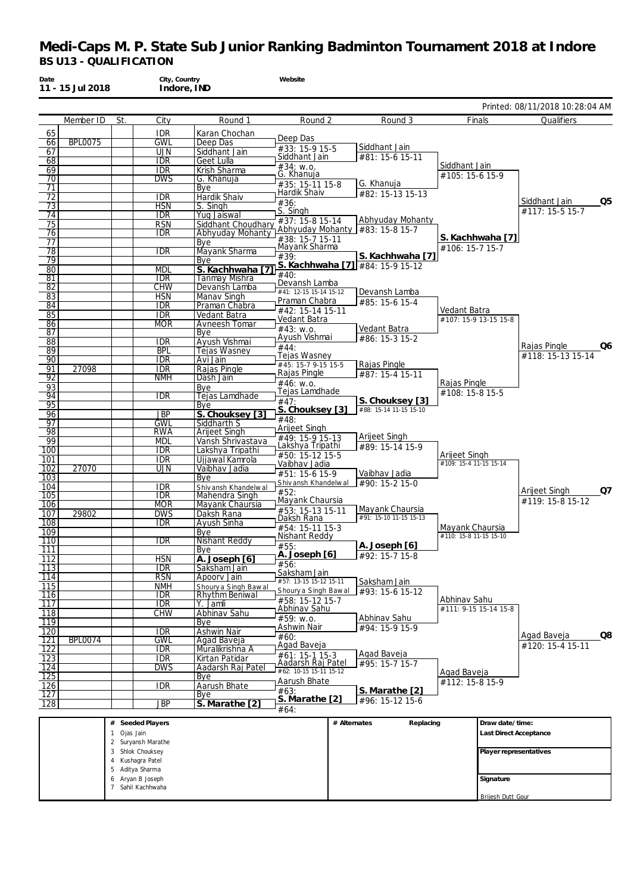| Date                    | 11 - 15 Jul 2018 |                           | City, Country<br>Indore, IND      |                                        | Website                                |              |                                   |                        |                          |                                         |
|-------------------------|------------------|---------------------------|-----------------------------------|----------------------------------------|----------------------------------------|--------------|-----------------------------------|------------------------|--------------------------|-----------------------------------------|
|                         |                  |                           |                                   |                                        |                                        |              |                                   |                        |                          | Printed: 08/11/2018 10:28:04 AM         |
|                         | Member ID        | St.                       | City                              | Round 1                                | Round 2                                |              | Round 3                           |                        | Finals                   | Qualifiers                              |
| 65<br>66                | <b>BPL0075</b>   |                           | <b>IDR</b><br><b>GWL</b>          | Karan Chochan<br>Deep Das              | Deep Das                               |              |                                   |                        |                          |                                         |
| 67                      |                  |                           | <b>UJN</b>                        | Siddhant Jain                          | #33: 15-9 15-5                         |              | Siddhant Jain                     |                        |                          |                                         |
| 68                      |                  |                           | <b>IDR</b>                        | Geet Lulla                             | Siddhant Jain<br>$#34:$ W.O.           |              | #81: 15-6 15-11                   | Siddhant Jain          |                          |                                         |
| 69                      |                  |                           | <b>IDR</b>                        | Krish Sharma                           | G. Khanuja                             |              |                                   | #105: 15-6 15-9        |                          |                                         |
| 70<br>71                |                  |                           | <b>DWS</b>                        | G. Khanuia<br>Bye                      | #35: 15-11 15-8                        |              | G. Khanuja                        |                        |                          |                                         |
| 72                      |                  |                           | <b>IDR</b>                        | <b>Hardik Shaiv</b>                    | Hardik Shaiv                           |              | #82: 15-13 15-13                  |                        |                          | Q5<br>Siddhant Jain                     |
| 73                      |                  |                           | <b>HSN</b>                        | S. Singh                               | #36:<br>S. Singh                       |              |                                   |                        |                          | #117: 15-5 15-7                         |
| 74<br>75                |                  |                           | <b>IDR</b><br><b>RSN</b>          | Yug Jaiswal<br>Siddhant Choudharv      | #37: 15-8 15-14                        |              | Abhyuday Mohanty                  |                        |                          |                                         |
| 76                      |                  |                           | <b>IDR</b>                        | Abhyuday Mohanty                       |                                        |              | Abhyuday Mohanty #83: 15-8 15-7   |                        |                          |                                         |
| 77                      |                  |                           |                                   | Bye                                    | #38: 15-7 15-11<br>Mayank Sharma       |              |                                   | #106: 15-7 15-7        | S. Kachhwaha [7]         |                                         |
| 78<br>79                |                  |                           | idr                               | Mayank Sharma<br>Bye                   | #39:                                   |              | S. Kachhwaha [7]                  |                        |                          |                                         |
| 80                      |                  |                           | <b>MDL</b>                        | S. Kachhwaha [                         |                                        |              | S. Kachhwaha [7] #84: 15-9 15-12  |                        |                          |                                         |
| 81                      |                  |                           | <b>IDR</b>                        | Tanmay Mishra                          | #40:<br>Devansh Lamba                  |              |                                   |                        |                          |                                         |
| 82<br>83                |                  |                           | CHW<br><b>HSN</b>                 | Devansh Lamba<br>Manav Singh           | #41: 12-15 15-14 15-12                 |              | Devansh Lamba                     |                        |                          |                                         |
| 84                      |                  |                           | <b>IDR</b>                        | Praman Chabra                          | Praman Chabra                          |              | #85: 15-6 15-4                    |                        |                          |                                         |
| 85                      |                  |                           | <b>IDR</b>                        | Vedant Batra                           | #42: 15-14 15-11<br>Vedant Batra       |              |                                   | Vedant Batra           | #107: 15-9 13-15 15-8    |                                         |
| 86<br>87                |                  |                           | <b>MOR</b>                        | Avneesh Tomar<br>Bye                   | #43: w.o.                              |              | Vedant Batra                      |                        |                          |                                         |
| 88                      |                  |                           | IDR                               | Avush Vishmai                          | Ayush Vishmai                          |              | #86: 15-3 15-2                    |                        |                          |                                         |
| 89                      |                  |                           | <b>BPL</b>                        | Tejas Wasney                           | #44:<br>Tejas Wasney                   |              |                                   |                        |                          | Rajas Pingle<br>Q6<br>#118: 15-13 15-14 |
| 90                      |                  |                           | <b>IDR</b>                        | Avi Jain                               | #45: 15-7 9-15 15-5                    |              | Rajas Pingle                      |                        |                          |                                         |
| 91<br>$\overline{92}$   | 27098            |                           | <b>IDR</b><br><b>NMH</b>          | Rajas Pingle<br>Dash Jain              | Rajas Pingle                           |              | #87: 15-4 15-11                   |                        |                          |                                         |
| 93                      |                  |                           |                                   | Bye                                    | #46: W.0.<br>Tejas Lamdhade            |              |                                   | Rajas Pingle           |                          |                                         |
| 94                      |                  |                           | idr                               | Tejas Lamdhade                         | #47:                                   |              | S. Chouksey [3]                   | #108: 15-8 15-5        |                          |                                         |
| 95<br>96                |                  |                           | <b>JBP</b>                        | Bye<br>S. Chouksey [3]                 | S. Chouksey [3]                        |              | #88: 15-14 11-15 15-10            |                        |                          |                                         |
| 97                      |                  |                           | <b>GWL</b>                        | Siddharth S                            | #48:                                   |              |                                   |                        |                          |                                         |
| 98                      |                  |                           | RWA                               | <b>Arijeet Singh</b>                   | Arijeet Singh<br>#49: 15-9 15-13       |              | Arijeet Singh                     |                        |                          |                                         |
| 99<br>100               |                  |                           | <b>MDL</b><br><b>IDR</b>          | Vansh Shrivastava<br>Lakshya Tripathi  | Lakshya Tripathi                       |              | #89: 15-14 15-9                   |                        |                          |                                         |
| 101                     |                  |                           | <b>IDR</b>                        | Ujjawal Kamrola                        | #50: 15-12 15-5                        |              |                                   | Arijeet Singh          |                          |                                         |
| 102                     | 27070            |                           | UJN                               | Vaibhav Jadia                          | Vaibhav Jadia<br>#51: 15-6 15-9        |              | Vaibhav Jadia                     | #109: 15-4 11-15 15-14 |                          |                                         |
| 103<br>104              |                  |                           | <b>IDR</b>                        | Bye                                    | Shiv ansh Khandelwal                   |              | #90: 15-2 15-0                    |                        |                          |                                         |
| 105                     |                  |                           | <b>IDR</b>                        | Shiv ansh Khandelwal<br>Mahendra Singh | #52:                                   |              |                                   |                        |                          | Arijeet Singh<br>Q7                     |
| 106                     |                  |                           | <b>MOR</b>                        | Mayank Chaursia                        | Mayank Chaursia                        |              | Mayank Chaursia                   |                        |                          | #119: 15-8 15-12                        |
| 107<br>108              | 29802            |                           | <b>DWS</b>                        | Daksh Rana<br>Avush Sinha              | #53: 15-13 15-11<br>Daksh Rana         |              | #91: 15-10 11-15 15-13            |                        |                          |                                         |
| 109                     |                  |                           | <b>IDR</b>                        | Bye                                    | #54: 15-11 15-3                        |              |                                   | Mayank Chaursia        |                          |                                         |
| 110                     |                  |                           | <b>IDR</b>                        | Nishant Reddy                          | Nishant Reddy<br>#55:                  |              | A. Joseph [6]                     | #110: 15-8 11-15 15-10 |                          |                                         |
| 111                     |                  |                           |                                   | Bye                                    | A. Joseph [6]                          |              | #92: 15-7 15-8                    |                        |                          |                                         |
| 112<br>$\overline{113}$ |                  |                           | <b>HSN</b><br><b>IDR</b>          | A. Joseph [6]<br>Saksham Jain          | #56:                                   |              |                                   |                        |                          |                                         |
| 114                     |                  |                           | <b>RSN</b>                        | Apoory Jain                            | Saksham Jain<br>#57: 13-15 15-12 15-11 |              | Saksham Jain                      |                        |                          |                                         |
| $\overline{115}$        |                  |                           | <b>NMH</b>                        | Shoury a Singh Bawal                   | Shoury a Singh Bawal                   |              | #93: 15-6 15-12                   |                        |                          |                                         |
| 116<br>$\overline{117}$ |                  |                           | <b>IDR</b><br><b>IDR</b>          | <b>Rhythm Beniwal</b><br>Y. Jamli      | #58: 15-12 15-7                        |              |                                   | Abhinav Sahu           |                          |                                         |
| 118                     |                  |                           | <b>CHW</b>                        | Abhinav Sahu                           | Abhinav Sahu<br>#59: W.0.              |              | Abhinav Sahu                      |                        | #111: 9-15 15-14 15-8    |                                         |
| 119                     |                  |                           |                                   | Bye                                    | Ashwin Nair                            |              | #94: 15-9 15-9                    |                        |                          |                                         |
| 120<br>$\overline{121}$ | <b>BPL0074</b>   |                           | <b>IDR</b><br><b>GWL</b>          | Ashwin Nair<br>Agad Baveja             | #60:                                   |              |                                   |                        |                          | Q8<br>Agad Baveja                       |
| $\overline{122}$        |                  |                           | <b>IDR</b>                        | Muralikrishna A                        | Agad Baveja                            |              | Agad Baveja                       |                        |                          | #120: 15-4 15-11                        |
| 123                     |                  |                           | IDR                               | Kirtan Patidar                         | #61: 15-1 15-3<br>Aadarsh Raj Patel    |              | #95: 15-7 15-7                    |                        |                          |                                         |
| 124<br>125              |                  |                           | DWS                               | Aadarsh Raj Patel<br>Bye               | $#62: 10-15 15-11 15-12$               |              |                                   | Agad Baveja            |                          |                                         |
| 126                     |                  |                           | <b>IDR</b>                        | Aarush Bhate                           | Aarush Bhate                           |              |                                   | #112: 15-8 15-9        |                          |                                         |
| 127                     |                  |                           |                                   | Bye                                    | #63:<br>S. Marathe [2]                 |              | S. Marathe [2]<br>#96: 15-12 15-6 |                        |                          |                                         |
| 128                     |                  |                           | <b>JBP</b>                        | S. Marathe [2]                         | #64:                                   |              |                                   |                        |                          |                                         |
|                         |                  | #                         | Seeded Players                    |                                        |                                        | # Alternates | Replacing                         |                        | Draw date/time:          |                                         |
|                         |                  | Ojas Jain<br>$\mathbf{1}$ | Suryansh Marathe                  |                                        |                                        |              |                                   |                        | Last Direct Acceptance   |                                         |
|                         |                  | $\overline{2}$            | 3 Shlok Chouksey                  |                                        |                                        |              |                                   |                        | Player representatives   |                                         |
|                         |                  | $\overline{4}$            | Kushagra Patel                    |                                        |                                        |              |                                   |                        |                          |                                         |
|                         |                  | 5                         | Aditya Sharma                     |                                        |                                        |              |                                   |                        |                          |                                         |
|                         |                  | 6                         | Aryan B Joseph<br>Sahil Kachhwaha |                                        |                                        |              |                                   |                        | Signature                |                                         |
|                         |                  |                           |                                   |                                        |                                        |              |                                   |                        | <b>Brijesh Dutt Gour</b> |                                         |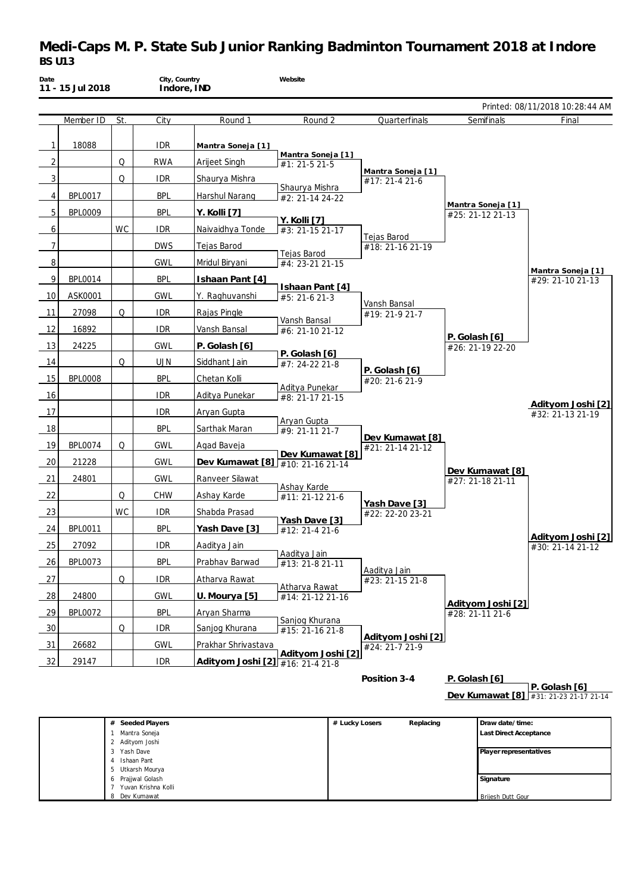# **Medi-Caps M. P. State Sub Junior Ranking Badminton Tournament 2018 at Indore** *BS U13*

| Date           | 11 - 15 Jul 2018 |           | City, Country<br>Indore, IND |                                  | Website                            |                                     |                                       |                                       |
|----------------|------------------|-----------|------------------------------|----------------------------------|------------------------------------|-------------------------------------|---------------------------------------|---------------------------------------|
|                |                  |           |                              |                                  |                                    |                                     |                                       | Printed: 08/11/2018 10:28:44 AM       |
|                | Member ID        | St.       | City                         | Round 1                          | Round 2                            | Quarterfinals                       | Semifinals                            | Final                                 |
| $\mathbf{1}$   | 18088            |           | idr                          | Mantra Soneja [1]                |                                    |                                     |                                       |                                       |
| $\overline{2}$ |                  | Q         | <b>RWA</b>                   | Arijeet Singh                    | Mantra Soneja [1]<br>#1: 21-5 21-5 |                                     |                                       |                                       |
| 3              |                  | Q         | <b>IDR</b>                   | Shaurya Mishra                   |                                    | Mantra Soneja [1]<br>#17: 21-4 21-6 |                                       |                                       |
| 4              | <b>BPL0017</b>   |           | <b>BPL</b>                   | Harshul Narang                   | Shaurya Mishra<br>#2: 21-14 24-22  |                                     |                                       |                                       |
| 5              | <b>BPL0009</b>   |           | <b>BPL</b>                   | Y. Kolli [7]                     |                                    |                                     | Mantra Soneja [1]<br>#25: 21-12 21-13 |                                       |
| 6              |                  | WC        | <b>IDR</b>                   | Naivaidhya Tonde                 | Y. Kolli [7]<br>#3: 21-15 21-17    |                                     |                                       |                                       |
| $\overline{7}$ |                  |           | <b>DWS</b>                   | Tejas Barod                      |                                    | Tejas Barod<br>#18: 21-16 21-19     |                                       |                                       |
| 8              |                  |           | GWL                          | Mridul Biryani                   | Tejas Barod<br>#4: 23-21 21-15     |                                     |                                       |                                       |
| 9              | <b>BPL0014</b>   |           | <b>BPL</b>                   | Ishaan Pant [4]                  |                                    |                                     |                                       | Mantra Soneja [1]<br>#29: 21-10 21-13 |
| 10             | ASK0001          |           | GWL                          | Y. Raghuvanshi                   | Ishaan Pant [4]<br>#5: 21-6 21-3   |                                     |                                       |                                       |
| 11             | 27098            | Q         | <b>IDR</b>                   | Rajas Pingle                     |                                    | Vansh Bansal<br>#19: 21-9 21-7      |                                       |                                       |
| 12             | 16892            |           | <b>IDR</b>                   | Vansh Bansal                     | Vansh Bansal<br>#6: 21-10 21-12    |                                     |                                       |                                       |
| 13             | 24225            |           | <b>GWL</b>                   | P. Golash [6]                    |                                    |                                     | P. Golash [6]<br>#26: 21-19 22-20     |                                       |
| 14             |                  | Q         | <b>UJN</b>                   | Siddhant Jain                    | P. Golash [6]<br>#7: 24-22 21-8    |                                     |                                       |                                       |
| 15             | <b>BPL0008</b>   |           | <b>BPL</b>                   | Chetan Kolli                     |                                    | P. Golash [6]<br>#20: 21-6 21-9     |                                       |                                       |
| 16             |                  |           | <b>IDR</b>                   | Aditya Punekar                   | Aditya Punekar<br>#8: 21-17 21-15  |                                     |                                       |                                       |
| 17             |                  |           | <b>IDR</b>                   | Aryan Gupta                      |                                    |                                     |                                       | Adityom Joshi [2]<br>#32: 21-13 21-19 |
| 18             |                  |           | <b>BPL</b>                   | Sarthak Maran                    | Aryan Gupta<br>#9: 21-11 21-7      |                                     |                                       |                                       |
| 19             | <b>BPL0074</b>   | Q         | <b>GWL</b>                   | Agad Baveja                      |                                    | Dev Kumawat [8]<br>#21: 21-14 21-12 |                                       |                                       |
| 20             | 21228            |           | GWL                          | Dev Kumawat [8] #10: 21-16 21-14 | Dev Kumawat [8]                    |                                     |                                       |                                       |
| 21             | 24801            |           | <b>GWL</b>                   | Ranveer Silawat                  |                                    |                                     | Dev Kumawat [8]                       |                                       |
| 22             |                  | Q         | CHW                          | Ashay Karde                      | Ashay Karde                        |                                     | #27: 21-18 21-11                      |                                       |
| 23             |                  | <b>WC</b> | <b>IDR</b>                   | Shabda Prasad                    | #11: 21-12 21-6                    | Yash Dave [3]                       |                                       |                                       |
| 24             | <b>BPL0011</b>   |           | <b>BPL</b>                   | Yash Dave [3]                    | Yash Dave [3]                      | #22: 22-20 23-21                    |                                       |                                       |
| 25             | 27092            |           | <b>IDR</b>                   | Aaditva Jain                     | #12: 21-4 21-6                     |                                     |                                       | Adityom Joshi [2]                     |
|                | <b>BPL0073</b>   |           |                              |                                  | Aaditya Jain                       |                                     |                                       | #30: 21-14 21-12                      |
| 26             |                  |           | <b>BPL</b>                   | Prabhav Barwad                   | #13: 21-8 21-11                    | Aaditya Jain                        |                                       |                                       |
| 27             |                  | Q         | <b>IDR</b>                   | Atharva Rawat                    | Atharva Rawat                      | #23: 21-15 21-8                     |                                       |                                       |
| 28             | 24800            |           | <b>GWL</b>                   | U. Mourya [5]                    | #14: 21-12 21-16                   |                                     | Adityom Joshi [2]                     |                                       |
| 29             | <b>BPL0072</b>   |           | <b>BPL</b>                   | Aryan Sharma                     | Sanjog Khurana                     |                                     | #28: 21-11 21-6                       |                                       |
| 30             |                  | Q         | <b>IDR</b>                   | Sanjog Khurana                   | #15: 21-16 21-8                    | Adityom Joshi [2]                   |                                       |                                       |
| 31             | 26682            |           | <b>GWL</b>                   | Prakhar Shrivastava              | Adityom Joshi [2]                  | #24: 21-7 21-9                      |                                       |                                       |
| 32             | 29147            |           | <b>IDR</b>                   | Adityom Joshi [2] #16: 21-4 21-8 |                                    |                                     |                                       |                                       |

**Position 3-4 P. Golash [6]**

**Dev Kumawat [8] P. Golash [6]** #31: 21-23 21-17 21-14

| Seeded Players<br>#        | # Lucky Losers | Replacing | Draw date/time:               |
|----------------------------|----------------|-----------|-------------------------------|
| Mantra Soneja              |                |           | <b>Last Direct Acceptance</b> |
| 2 Adityom Joshi            |                |           |                               |
| Yash Dave<br>3             |                |           | Player representatives        |
| Ishaan Pant                |                |           |                               |
| 5 Utkarsh Mourya           |                |           |                               |
| Prajjwal Golash<br>$\circ$ |                |           | Signature                     |
| Yuvan Krishna Kolli        |                |           |                               |
| Dev Kumawat<br>8           |                |           | <b>Brijesh Dutt Gour</b>      |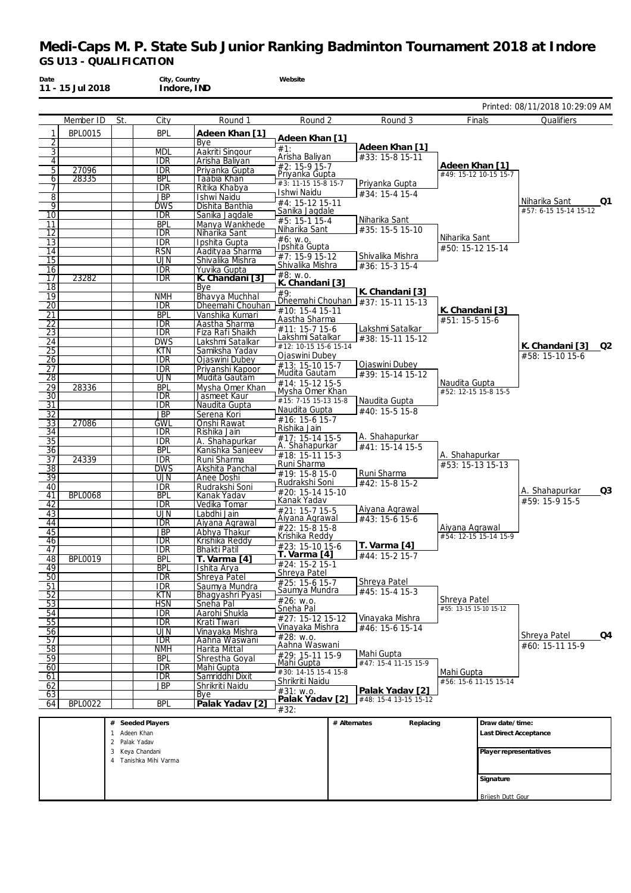|                       | 11 - 15 Jul 2018 |                  | Indore, IND              |                                    |                                    |                                                      |                                         |                                 |
|-----------------------|------------------|------------------|--------------------------|------------------------------------|------------------------------------|------------------------------------------------------|-----------------------------------------|---------------------------------|
|                       |                  |                  |                          |                                    |                                    |                                                      |                                         | Printed: 08/11/2018 10:29:09 AM |
|                       | Member ID        | St.              | City                     | Round 1                            | Round 2                            | Round 3                                              | <b>Finals</b>                           | Qualifiers                      |
| 1<br>2                | <b>BPL0015</b>   |                  | <b>BPL</b>               | Adeen Khan [1]<br>Bve              | Adeen Khan [1]                     |                                                      |                                         |                                 |
| $\overline{3}$        |                  |                  | <b>MDL</b>               | Aakriti Singour                    | #1:                                | Adeen Khan [1]                                       |                                         |                                 |
| $\overline{4}$        |                  |                  | IDR                      | Arisha Baliyan                     | Arisha Baliyan                     | #33: 15-8 15-11                                      |                                         |                                 |
| 5 <sup>1</sup>        | 27096            |                  | <b>IDR</b>               | Priyanka Gupta                     | #2: 15-9 15-7<br>Priyanka Gupta    |                                                      | Adeen Khan [1]<br>#49: 15-12 10-15 15-7 |                                 |
| 6                     | 28335            |                  | <b>BPL</b>               | Taabia Khan                        | #3: 11-15 15-8 15-7                | Priyanka Gupta                                       |                                         |                                 |
| 7                     |                  |                  | <b>IDR</b><br><b>JBP</b> | Ritika Khabya<br>Ishwi Naidu       | Ishwi Naidu                        | #34: 15-4 15-4                                       |                                         |                                 |
| $\,8\,$<br>9          |                  |                  | <b>DWS</b>               | Dishita Banthia                    | #4: 15-12 15-11                    |                                                      |                                         | Niharika Sant<br>Q1             |
| 10                    |                  |                  | <b>IDR</b>               | Sanika Jagdale                     | Sanika Jagdale                     |                                                      |                                         | #57: 6-15 15-14 15-12           |
| 11                    |                  |                  | <b>BPL</b>               | Manya Wankhede                     | #5: 15-1 15-4<br>Niharika Sant     | Niharika Sant<br>#35: 15-5 15-10                     |                                         |                                 |
| 12                    |                  |                  | <b>IDR</b>               | Niharika Sant                      | #6: W.O.                           |                                                      | Niharika Sant                           |                                 |
| 13<br>14              |                  |                  | <b>IDR</b><br><b>RSN</b> | Ipshita Gupta<br>Aadityaa Sharma   | Ipshita Gupta                      |                                                      | #50: 15-12 15-14                        |                                 |
| 15                    |                  |                  | UJN                      | Shivalika Mishra                   | #7: 15-9 15-12                     | Shivalika Mishra                                     |                                         |                                 |
| 16                    |                  |                  | <b>IDR</b>               | Yuvika Gupta                       | Shivalika Mishra                   | #36: 15-3 15-4                                       |                                         |                                 |
| 17                    | 23282            |                  | <b>IDR</b>               | K. Chandani [3]                    | #8: w.o.<br>K. Chandani [3]        |                                                      |                                         |                                 |
| 18                    |                  |                  |                          | Bye                                | #9:                                | K. Chandani [3]                                      |                                         |                                 |
| 19<br>$\overline{20}$ |                  |                  | <b>NMH</b><br><b>IDR</b> | Bhavya Muchhal<br>Dheemahi Chouhan |                                    | Dheemahi Chouhan $\sqrt{\frac{437}{15}}$ 15-11 15-13 |                                         |                                 |
| 21                    |                  |                  | <b>BPL</b>               | Vanshika Kumari                    | #10: 15-4 15-11                    |                                                      | K. Chandani [3]                         |                                 |
| 22                    |                  |                  | <b>IDR</b>               | Aastha Sharma                      | Aastha Sharma                      |                                                      | #51: 15-5 15-6                          |                                 |
| $\overline{23}$       |                  |                  | <b>IDR</b>               | Fiza Rafi Shaikh                   | #11: 15-7 15-6<br>Lakshmi Satalkar | Lakshmi Satalkar<br>#38: 15-11 15-12                 |                                         |                                 |
| 24                    |                  |                  | <b>DWS</b>               | Lakshmi Satalkar                   | #12: 10-15 15-6 15-14              |                                                      |                                         | K. Chandani [3]<br>O2           |
| 25<br>26              |                  |                  | KTN<br><b>IDR</b>        | Samiksha Yadav<br>Ojaswini Dubey   | Ojaswini Dubey                     |                                                      |                                         | #58: 15-10 15-6                 |
| 27                    |                  |                  | <b>IDR</b>               | Priyanshi Kapoor                   | #13: 15-10 15-7                    | Ojaswini Dubey                                       |                                         |                                 |
| 28                    |                  |                  | UJN                      | Mudita Gautam                      | Mudita Gautam<br>#14: 15-12 15-5   | #39: 15-14 15-12                                     | Naudita Gupta                           |                                 |
| $\overline{29}$       | 28336            |                  | <b>BPL</b>               | Mysha Omer Khan                    | Mysha Omer Khan                    |                                                      | #52: 12-15 15-8 15-5                    |                                 |
| 30                    |                  |                  | <b>IDR</b>               | Jasmeet Kaur                       | #15: 7-15 15-13 15-8               | Naudita Gupta                                        |                                         |                                 |
| 31<br>$\overline{32}$ |                  |                  | <b>IDR</b><br><b>JBP</b> | Naudita Gupta<br>Serena Kori       | Naudita Gupta                      | $\#40: 15-515-8$                                     |                                         |                                 |
| $\overline{33}$       | 27086            |                  | <b>GWL</b>               | Onshi Rawat                        | #16: 15-6 15-7                     |                                                      |                                         |                                 |
| 34                    |                  |                  | <b>IDR</b>               | Rishika Jain                       | Rishika Jain<br>#17: 15-14 15-5    | A. Shahapurkar                                       |                                         |                                 |
| $\overline{35}$       |                  |                  | <b>IDR</b>               | A. Shahapurkar                     | A. Shahapurkar                     | #41: 15-14 15-5                                      |                                         |                                 |
| 36                    |                  |                  | <b>BPL</b>               | Kanishka Sanjeev                   | #18: 15-11 15-3                    |                                                      | A. Shahapurkar                          |                                 |
| $\overline{37}$<br>38 | 24339            |                  | <b>IDR</b><br><b>DWS</b> | Runi Sharma<br>Akshita Panchal     | Runi Sharma                        |                                                      | #53: 15-13 15-13                        |                                 |
| $\overline{39}$       |                  |                  | UJN                      | Anee Doshi                         | #19: 15-8 15-0                     | Runi Sharma                                          |                                         |                                 |
| 40                    |                  |                  | <b>IDR</b>               | Rudrakshi Soni                     | Rudrakshi Soni<br>#20: 15-14 15-10 | #42: 15-8 15-2                                       |                                         | Q3<br>A. Shahapurkar            |
| 41                    | <b>BPL0068</b>   |                  | <b>BPL</b>               | Kanak Yadav                        | Kanak Yadav                        |                                                      |                                         | #59: 15-9 15-5                  |
| 42<br>43              |                  |                  | <b>IDR</b><br><b>UJN</b> | Vedika Tomar<br>Labdhi Jain        | #21: 15-7 15-5                     | Aiyana Agrawal                                       |                                         |                                 |
| 44                    |                  |                  | <b>IDR</b>               | Aivana Agrawal                     | Aiyana Agrawal                     | #43: 15-6 15-6                                       |                                         |                                 |
| 45                    |                  |                  | JBP                      | Abhya Thakur                       | #22: 15-8 15-8<br>Krishika Reddy   |                                                      | Aiyana Agrawal<br>#54: 12-15 15-14 15-9 |                                 |
| 46                    |                  |                  | IDR                      | Krishika Reddy                     | #23: 15-10 15-6                    | T. Varma [4]                                         |                                         |                                 |
| 47                    | <b>BPL0019</b>   |                  | <b>IDR</b><br><b>BPL</b> | Bhakti Patil<br>T. Varma [4]       | T. Varma [4]                       | #44: 15-2 15-7                                       |                                         |                                 |
| 48<br>49              |                  |                  | <b>BPL</b>               | Ishita Arya                        | #24: 15-2 15-1                     |                                                      |                                         |                                 |
| 50                    |                  |                  | <b>IDR</b>               | Shreya Patel                       | Shreya Patel                       |                                                      |                                         |                                 |
| 51                    |                  |                  | <b>IDR</b>               | Saumya Mundra                      | #25: 15-6 15-7<br>Saumya Mundra    | Shreya Patel<br>#45: 15-4 15-3                       |                                         |                                 |
| 52                    |                  |                  | $\overline{\text{KTN}}$  | Bhagyashri Pyasi                   | #26: w.o.                          |                                                      | Shreya Patel                            |                                 |
| 53<br>54              |                  |                  | <b>HSN</b><br><b>IDR</b> | Sneha Pal<br>Aarohi Shukla         | Sneha Pal                          |                                                      | #55: 13-15 15-10 15-12                  |                                 |
| $\overline{55}$       |                  |                  | $\overline{\text{IDR}}$  | Krati Tiwari                       | #27: 15-12 15-12                   | Vinayaka Mishra                                      |                                         |                                 |
| 56                    |                  |                  | <b>UJN</b>               | Vinayaka Mishra                    | Vinayaka Mishra                    | #46: 15-6 15-14                                      |                                         | Shreya Patel<br>Q4              |
| 57                    |                  |                  | <b>IDR</b>               | Aahna Waswani                      | #28: w.o.<br>Aahna Waswani         |                                                      |                                         | #60: 15-11 15-9                 |
| $\overline{58}$<br>59 |                  |                  | <b>NMH</b><br><b>BPL</b> | Harita Mittal                      | #29: 15-11 15-9                    | Mahi Gupta                                           |                                         |                                 |
| 60                    |                  |                  | <b>IDR</b>               | Shrestha Goyal<br>Mahi Gupta       | Mahi Gupta                         | #47: 15-4 11-15 15-9                                 |                                         |                                 |
| 61                    |                  |                  | idr                      | Samriddhi Dixit                    | #30: 14-15 15-4 15-8               |                                                      | Mahi Gupta                              |                                 |
| 62                    |                  |                  | <b>JBP</b>               | Shrikriti Naidu                    | Shrikriti Naidu<br>#31: w.o.       | Palak Yadav [2]                                      | #56: 15-6 11-15 15-14                   |                                 |
| 63                    |                  |                  |                          | Bye                                | Palak Yadav [2]                    | #48: 15-4 13-15 15-12                                |                                         |                                 |
| 64                    | <b>BPL0022</b>   |                  | <b>BPL</b>               | Palak Yadav [2]                    | #32:                               |                                                      |                                         |                                 |
|                       |                  |                  | # Seeded Players         |                                    |                                    | # Alternates<br>Replacing                            | Draw date/time:                         |                                 |
|                       |                  | 1 Adeen Khan     |                          |                                    |                                    |                                                      |                                         | Last Direct Acceptance          |
|                       |                  | Palak Yadav<br>2 |                          |                                    |                                    |                                                      |                                         |                                 |
|                       |                  | 3 Keya Chandani  | Tanishka Mihi Varma      |                                    |                                    |                                                      |                                         | Player representatives          |
|                       |                  |                  |                          |                                    |                                    |                                                      |                                         |                                 |

**Signature** Brijesh Dutt Gour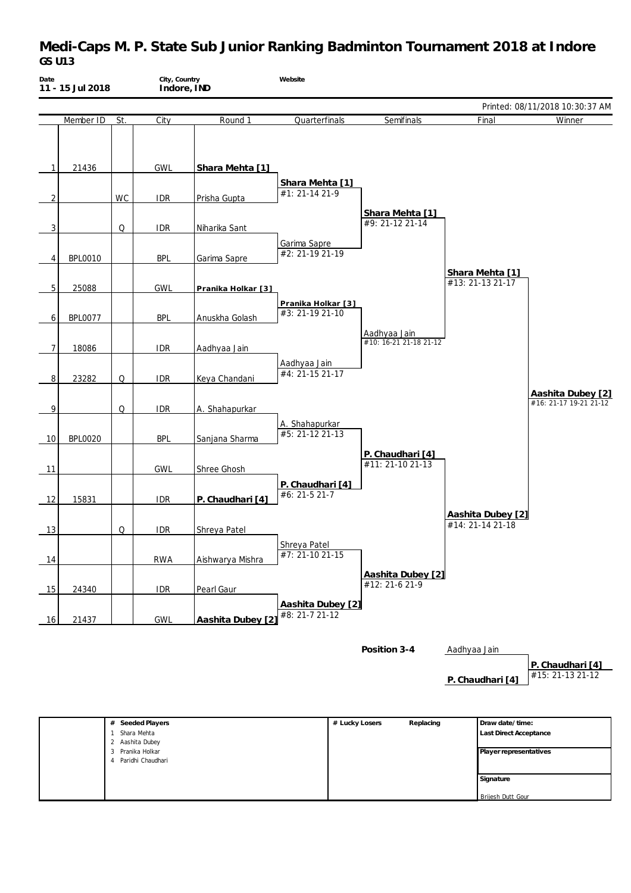# **Medi-Caps M. P. State Sub Junior Ranking Badminton Tournament 2018 at Indore** *GS U13*

| Date           | City, Country<br>11 - 15 Jul 2018<br>Indore, IND |     |            | Website            |                                       |                                        |                                       |                                             |
|----------------|--------------------------------------------------|-----|------------|--------------------|---------------------------------------|----------------------------------------|---------------------------------------|---------------------------------------------|
|                |                                                  |     |            |                    |                                       |                                        |                                       | Printed: 08/11/2018 10:30:37 AM             |
|                | Member ID                                        | St. | City       | Round 1            | Quarterfinals                         | Semifinals                             | Final                                 | Winner                                      |
| 1              | 21436                                            |     | <b>GWL</b> | Shara Mehta [1]    |                                       |                                        |                                       |                                             |
| 2              |                                                  | WC  | <b>IDR</b> | Prisha Gupta       | Shara Mehta [1]<br>#1: 21-14 21-9     |                                        |                                       |                                             |
| 3              |                                                  | Q   | <b>IDR</b> | Niharika Sant      |                                       | Shara Mehta [1]<br>#9: 21-12 21-14     |                                       |                                             |
| 4              | <b>BPL0010</b>                                   |     | <b>BPL</b> | Garima Sapre       | Garima Sapre<br>#2: 21-19 21-19       |                                        | Shara Mehta [1]                       |                                             |
| 5              | 25088                                            |     | <b>GWL</b> | Pranika Holkar [3] |                                       |                                        | #13: 21-13 21-17                      |                                             |
| 6              | <b>BPL0077</b>                                   |     | <b>BPL</b> | Anuskha Golash     | Pranika Holkar [3]<br>#3: 21-19 21-10 |                                        |                                       |                                             |
| $\overline{7}$ | 18086                                            |     | <b>IDR</b> | Aadhyaa Jain       |                                       | Aadhyaa Jain<br>#10: 16-21 21-18 21-12 |                                       |                                             |
| 8              | 23282                                            | Q   | <b>IDR</b> | Keya Chandani      | Aadhyaa Jain<br>#4: 21-15 21-17       |                                        |                                       |                                             |
| 9              |                                                  | Q   | <b>IDR</b> | A. Shahapurkar     |                                       |                                        |                                       | Aashita Dubey [2]<br>#16: 21-17 19-21 21-12 |
| 10             | <b>BPL0020</b>                                   |     | <b>BPL</b> | Sanjana Sharma     | A. Shahapurkar<br>#5: 21-12 21-13     |                                        |                                       |                                             |
| 11             |                                                  |     | <b>GWL</b> | Shree Ghosh        |                                       | P. Chaudhari [4]<br>#11: 21-10 21-13   |                                       |                                             |
| 12             | 15831                                            |     | <b>IDR</b> | P. Chaudhari [4]   | P. Chaudhari [4]<br>#6: 21-5 21-7     |                                        |                                       |                                             |
| 13             |                                                  | Q   | <b>IDR</b> | Shreya Patel       |                                       |                                        | Aashita Dubey [2]<br>#14: 21-14 21-18 |                                             |
| 14             |                                                  |     | <b>RWA</b> | Aishwarya Mishra   | Shreya Patel<br>#7: 21-10 21-15       |                                        |                                       |                                             |
| 15             | 24340                                            |     | <b>IDR</b> | Pearl Gaur         |                                       | Aashita Dubey [2]<br>#12: 21-6 21-9    |                                       |                                             |
| 16             | 21437                                            |     | <b>GWL</b> | Aashita Dubey [2]  | Aashita Dubey [2]<br>#8: 21-7 21-12   |                                        |                                       |                                             |
|                |                                                  |     |            |                    |                                       | Position 3-4                           | Aadhyaa Jain                          | P. Chaudhari [4]                            |
|                |                                                  |     |            |                    |                                       |                                        | P. Chaudhari [4]                      | #15: 21-13 21-12                            |

| Seeded Players<br>#    | # Lucky Losers | Replacing | Draw date/time:               |
|------------------------|----------------|-----------|-------------------------------|
| Shara Mehta            |                |           | <b>Last Direct Acceptance</b> |
| 2 Aashita Dubey        |                |           |                               |
| 3 Pranika Holkar       |                |           | Player representatives        |
| Paridhi Chaudhari<br>4 |                |           |                               |
|                        |                |           |                               |
|                        |                |           | Signature                     |
|                        |                |           |                               |
|                        |                |           | Brijesh Dutt Gour             |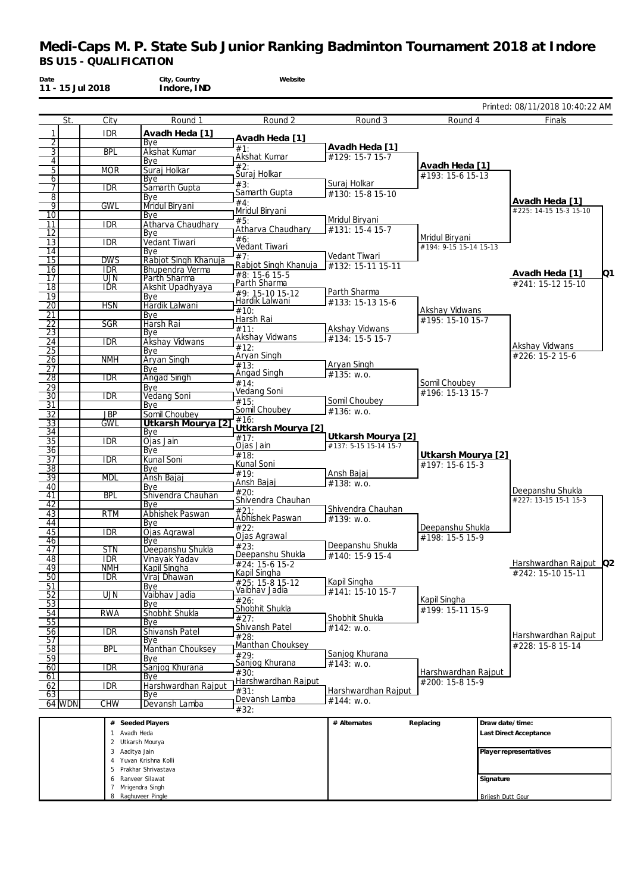| Date<br>11 - 15 Jul 2018         |                          | City, Country<br>Indore, IND           | Website                                  |                       |                                          |                                           |    |
|----------------------------------|--------------------------|----------------------------------------|------------------------------------------|-----------------------|------------------------------------------|-------------------------------------------|----|
|                                  |                          |                                        |                                          |                       |                                          | Printed: 08/11/2018 10:40:22 AM           |    |
| St.                              | $\overline{City}$        | Round 1                                | Round 2                                  | Round 3               | Round 4                                  | Finals                                    |    |
| 1                                | <b>IDR</b>               | Avadh Heda [1]                         | Avadh Heda [1]                           |                       |                                          |                                           |    |
| $\overline{2}$<br>$\overline{3}$ | <b>BPL</b>               | Bye<br>Akshat Kumar                    | #1:                                      | Avadh Heda [1]        |                                          |                                           |    |
| $\overline{4}$                   |                          | Bye                                    | Akshat Kumar                             | #129: 15-7 15-7       |                                          |                                           |    |
| $\overline{5}$                   | <b>MOR</b>               | Suraj Holkar                           | #2:<br>Suraj Holkar                      |                       | Avadh Heda [1]<br>#193: 15-6 15-13       |                                           |    |
| 6<br>$\overline{7}$              | <b>IDR</b>               | Bye<br>Samarth Gupta                   | #3:                                      | Suraj Holkar          |                                          |                                           |    |
| $\overline{8}$                   |                          | Bye                                    | Samarth Gupta                            | #130: 15-8 15-10      |                                          |                                           |    |
| $\overline{9}$                   | <b>GWL</b>               | Mridul Biryani                         | #4:<br>Mridul Biryani                    |                       |                                          | Avadh Heda [1]<br>#225: 14-15 15-3 15-10  |    |
| $\overline{10}$<br>11            | <b>IDR</b>               | Bye<br>Atharva Chaudhary               | #5:                                      | Mridul Biryani        |                                          |                                           |    |
| $\overline{12}$                  |                          | Bye                                    | Atharva Chaudhary                        | #131: 15-4 15-7       |                                          |                                           |    |
| 13                               | <b>IDR</b>               | Vedant Tiwari                          | #6:<br>Vedant Tiwari                     |                       | Mridul Biryani<br>#194: 9-15 15-14 15-13 |                                           |    |
| 14<br>15                         | <b>DWS</b>               | Bye<br>Rabjot Singh Khanuja            | #7:                                      | Vedant Tiwari         |                                          |                                           |    |
| 16                               | <b>IDR</b>               | Bhupendra Verma                        | Rabjot Singh Khanuja                     | #132: 15-11 15-11     |                                          |                                           |    |
| 17                               | UJN                      | Parth Sharma                           | #8: 15-6 15-5<br>Parth Sharma            |                       |                                          | Avadh Heda [1]<br>#241: 15-12 15-10       | Q1 |
| $\overline{18}$<br>19            | <b>IDR</b>               | Akshit Upadhyaya                       | #9: 15-10 15-12                          | Parth Sharma          |                                          |                                           |    |
| $\overline{20}$                  | <b>HSN</b>               | Bye<br>Hardik Lalwani                  | Hardik Lalwani                           | #133: 15-13 15-6      |                                          |                                           |    |
| 21                               |                          | Bye                                    | #10:<br>Harsh Rai                        |                       | Akshay Vidwans<br>#195: 15-10 15-7       |                                           |    |
| 22                               | SGR                      | Harsh Rai                              | #11:                                     | Akshay Vidwans        |                                          |                                           |    |
| $\overline{23}$<br>24            | <b>IDR</b>               | Bye<br>Akshay Vidwans                  | Akshay Vidwans                           | #134: 15-5 15-7       |                                          |                                           |    |
| $\overline{25}$                  |                          | Bye                                    | #12:                                     |                       |                                          | Akshay Vidwans                            |    |
| 26                               | <b>NMH</b>               | Aryan Singh                            | Aryan Singh<br>#13:                      | Aryan Singh           |                                          | #226: 15-2 15-6                           |    |
| 27<br>28                         | <b>IDR</b>               | Bye<br><b>Angad Singh</b>              | Angad Singh                              | #135: w.o.            |                                          |                                           |    |
| $\overline{29}$                  |                          | Bye                                    | #14:                                     |                       | Somil Choubey                            |                                           |    |
| $\overline{30}$                  | <b>IDR</b>               | <b>Vedang Soni</b>                     | Vedang Soni<br>#15:                      | Somil Choubey         | #196: 15-13 15-7                         |                                           |    |
| 31<br>$\overline{32}$            | <b>JBP</b>               | Bye<br>Somil Choubey                   | Somil Choubey                            | #136: w.o.            |                                          |                                           |    |
| $\overline{33}$                  | <b>GWL</b>               | Utkarsh Mourya [2]                     | #16:                                     |                       |                                          |                                           |    |
| 34                               |                          | Bye                                    | Utkarsh Mourya [2]<br>$\overline{417}$ : | Utkarsh Mourya [2]    |                                          |                                           |    |
| $\overline{35}$<br>36            | <b>IDR</b>               | Ojas Jain<br>Bye                       | Ojas Jain                                | #137: 5-15 15-14 15-7 |                                          |                                           |    |
| 37                               | <b>IDR</b>               | Kunal Soni                             | #18:                                     |                       | Utkarsh Mourya [2]                       |                                           |    |
| $\overline{38}$                  |                          | Bye                                    | Kunal Soni<br>#19:                       | Ansh Bajaj            | #197: 15-6 15-3                          |                                           |    |
| 39<br>40                         | <b>MDL</b>               | Ansh Bajaj<br>Bye                      | Ansh Bajaj                               | #138: w.o.            |                                          |                                           |    |
| 41                               | <b>BPL</b>               | Shivendra Chauhan                      | #20:                                     |                       |                                          | Deepanshu Shukla<br>#227: 13-15 15-1 15-3 |    |
| $\overline{42}$                  |                          | Bye                                    | Shivendra Chauhan<br>#21:                | Shivendra Chauhan     |                                          |                                           |    |
| 43<br>44                         | <b>RTM</b>               | Abhishek Paswan<br>Bye                 | Abhishek Paswan                          | #139: w.o.            |                                          |                                           |    |
| 45                               | <b>IDR</b>               | Ojas Agrawal                           | #22:                                     |                       | Deepanshu Shukla                         |                                           |    |
| 46                               |                          | Bye                                    | Ojas Agrawal<br>#23:                     | Deepanshu Shukla      | #198: 15-5 15-9                          |                                           |    |
| 47<br>48                         | <b>STN</b><br><b>IDR</b> | Deepanshu Shukla<br>Vinavak Yadav      | Deepanshu Shukla                         | #140: 15-9 15-4       |                                          |                                           |    |
| 49                               | <b>NMH</b>               | Kapil Singha                           | #24: 15-6 15-2                           |                       |                                          | Harshwardhan Rajput Q2                    |    |
| $\overline{50}$                  | <b>IDR</b>               | Viraj Dhawan                           | Kapil Singha<br>#25: 15-8 15-12          | Kapil Singha          |                                          | #242: 15-10 15-11                         |    |
| 51<br>$\overline{52}$            | $\overline{\text{UJN}}$  | Bye<br>Vaibhav Jadia                   | Vaibhav Jadia                            | #141: 15-10 15-7      |                                          |                                           |    |
| 53                               |                          | Bye                                    | #26:                                     |                       | Kapil Singha                             |                                           |    |
| $\overline{54}$                  | <b>RWA</b>               | Shobhit Shukla                         | Shobhit Shukla<br>#27:                   | Shobhit Shukla        | #199: 15-11 15-9                         |                                           |    |
| 55<br>56                         | <b>IDR</b>               | Bye<br>Shivansh Patel                  | Shivansh Patel                           | #142: w.o.            |                                          |                                           |    |
| $\overline{57}$                  |                          | Bye                                    | #28:                                     |                       |                                          | Harshwardhan Rajput<br>#228: 15-8 15-14   |    |
| $\overline{58}$                  | <b>BPL</b>               | <b>Manthan Chouksey</b>                | Manthan Chouksey<br>#29:                 | Sanjog Khurana        |                                          |                                           |    |
| 59<br>60                         | <b>IDR</b>               | Bye<br>Sanjog Khurana                  | Sanjog Khurana                           | #143: w.o.            |                                          |                                           |    |
| 61                               |                          | Bye                                    | #30:                                     |                       | Harshwardhan Rajput                      |                                           |    |
| 62                               | <b>IDR</b>               | Harshwardhan Rajput                    | Harshwardhan Rajput<br>#31:              | Harshwardhan Rajput   | #200: 15-8 15-9                          |                                           |    |
| 63<br>64 WDN                     | CHW                      | Bye<br>Devansh Lamba                   | Devansh Lamba                            | #144: w.o.            |                                          |                                           |    |
|                                  |                          |                                        | #32:                                     |                       |                                          |                                           |    |
|                                  |                          | # Seeded Players                       |                                          | # Alternates          | Replacing                                | Draw date/time:                           |    |
|                                  | 1 Avadh Heda             |                                        |                                          |                       |                                          | Last Direct Acceptance                    |    |
|                                  | 3 Aaditya Jain           | 2 Utkarsh Mourya                       |                                          |                       |                                          | Player representatives                    |    |
|                                  |                          | 4 Yuvan Krishna Kolli                  |                                          |                       |                                          |                                           |    |
|                                  | 5                        | Prakhar Shrivastava                    |                                          |                       |                                          |                                           |    |
|                                  |                          | 6 Ranveer Silawat<br>7 Mrigendra Singh |                                          |                       |                                          | Signature                                 |    |
|                                  |                          | 8 Raghuveer Pingle                     |                                          |                       |                                          | Brijesh Dutt Gour                         |    |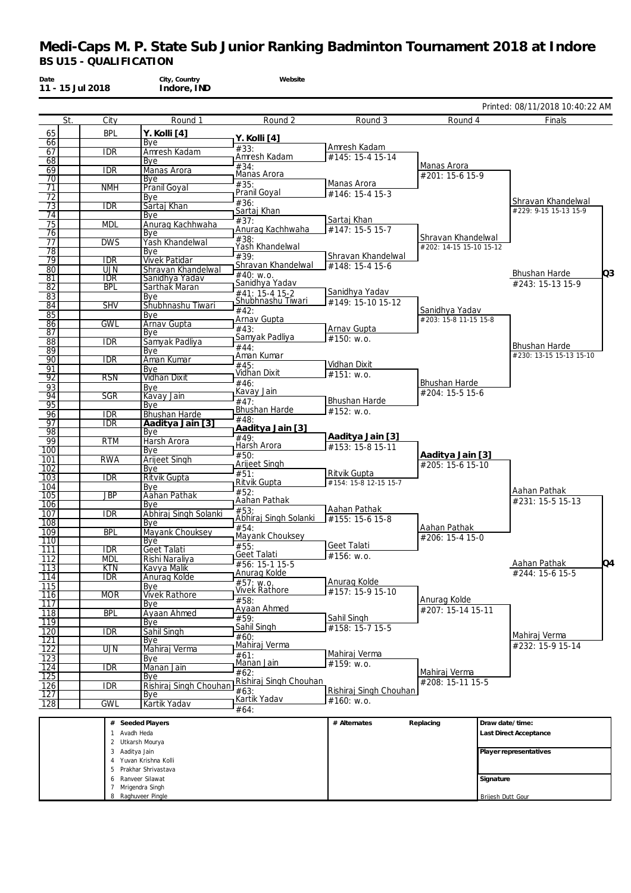| Date<br>11 - 15 Jul 2018 |                   | City, Country<br>Indore, IND               | Website                        |                                  |                                               |                                                 |
|--------------------------|-------------------|--------------------------------------------|--------------------------------|----------------------------------|-----------------------------------------------|-------------------------------------------------|
|                          |                   |                                            |                                |                                  |                                               | Printed: 08/11/2018 10:40:22 AM                 |
| St.                      | City              | Round 1                                    | Round 2                        | Round 3                          | Round 4                                       | Finals                                          |
| 65                       | <b>BPL</b>        | Y. Kolli [4]                               | Y. Kolli [4]                   |                                  |                                               |                                                 |
| 66<br>67                 | <b>IDR</b>        | Bye<br>Amresh Kadam                        | #33:                           | Amresh Kadam                     |                                               |                                                 |
| 68                       |                   | Bye                                        | Amresh Kadam                   | #145: 15-4 15-14                 |                                               |                                                 |
| 69                       | <b>IDR</b>        | Manas Arora                                | #34:<br>Manas Arora            |                                  | Manas Arora<br>#201: 15-6 15-9                |                                                 |
| 70<br>71                 | <b>NMH</b>        | Bye<br>Pranil Goyal                        | #35:                           | Manas Arora                      |                                               |                                                 |
| 72                       |                   | Bye                                        | Pranil Goyal                   | #146: 15-4 15-3                  |                                               |                                                 |
| 73                       | <b>IDR</b>        | Sartaj Khan                                | #36:<br>Sartaj Khan            |                                  |                                               | Shravan Khandelwal<br>#229: 9-15 15-13 15-9     |
| 74<br>75                 | <b>MDL</b>        | Bye<br>Anurag Kachhwaha                    | #37:                           | Sartaj Khan                      |                                               |                                                 |
| 76                       |                   | Bye                                        | Anurag Kachhwaha               | #147: 15-5 15-7                  |                                               |                                                 |
| 77                       | <b>DWS</b>        | Yash Khandelwal                            | #38:<br>Yash Khandelwal        |                                  | Shravan Khandelwal<br>#202: 14-15 15-10 15-12 |                                                 |
| 78<br>79                 | <b>IDR</b>        | Bye<br><b>Vivek Patidar</b>                | #39:                           | Shravan Khandelwal               |                                               |                                                 |
| 80                       | <b>UJN</b>        | Shravan Khandelwal                         | Shravan Khandelwal             | #148: 15-4 15-6                  |                                               | Q3                                              |
| 81                       | <b>IDR</b>        | Sanidhya Yadav                             | #40: w.o.<br>Sanidhya Yadav    |                                  |                                               | Bhushan Harde<br>#243: 15-13 15-9               |
| $\overline{82}$<br>83    | <b>BPL</b>        | <b>Sarthak Maran</b><br>Bye                | #41: 15-4 15-2                 | Sanidhya Yadav                   |                                               |                                                 |
| 84                       | <b>SHV</b>        | Shubhnashu Tiwari                          | Shubhnashu Tiwari              | #149: 15-10 15-12                |                                               |                                                 |
| $\overline{85}$          |                   | Bye                                        | #42:<br>Arnav Gupta            |                                  | Sanidhya Yadav<br>#203: 15-8 11-15 15-8       |                                                 |
| 86<br>87                 | <b>GWL</b>        | Arnav Gupta<br>Bye                         | #43:                           | Arnav Gupta                      |                                               |                                                 |
| 88                       | <b>IDR</b>        | Samyak Padliya                             | Samyak Padliya                 | #150: W.0.                       |                                               |                                                 |
| $\overline{89}$          |                   | Bye                                        | #44:<br>Aman Kumar             |                                  |                                               | <b>Bhushan Harde</b><br>#230: 13-15 15-13 15-10 |
| 90<br>91                 | <b>IDR</b>        | Aman Kumar<br>Bye                          | #45:                           | Vidhan Dixit                     |                                               |                                                 |
| 92                       | <b>RSN</b>        | <b>Vidhan Dixit</b>                        | Vidhan Dixit                   | $#151:$ W.O.                     |                                               |                                                 |
| 93                       |                   | Bye                                        | #46:<br>Kavay Jain             |                                  | <b>Bhushan Harde</b><br>#204: 15-5 15-6       |                                                 |
| 94<br>95                 | SGR               | Kavay Jain<br>Bye                          | #47:                           | <b>Bhushan Harde</b>             |                                               |                                                 |
| 96                       | <b>IDR</b>        | <b>Bhushan Harde</b>                       | Bhushan Harde                  | #152: w.o.                       |                                               |                                                 |
| 97                       | <b>IDR</b>        | Aaditya Jain [3]                           | #48:<br>Aaditya Jain [3]       |                                  |                                               |                                                 |
| 98<br>99                 | <b>RTM</b>        | Bye<br>Harsh Arora                         | $\overline{449}$ :             | Aaditya Jain [3]                 |                                               |                                                 |
| 100                      |                   | Bye                                        | Harsh Arora<br>#50:            | #153: 15-8 15-11                 |                                               |                                                 |
| 101                      | <b>RWA</b>        | <b>Arijeet Singh</b>                       | Arijeet Singh                  |                                  | Aaditya Jain [3]<br>#205: 15-6 15-10          |                                                 |
| $\overline{102}$<br>103  | <b>IDR</b>        | Bye<br><b>Ritvik Gupta</b>                 | #51:                           | Ritvik Gupta                     |                                               |                                                 |
| 104                      |                   | Bye                                        | Ritvik Gupta<br>#52:           | #154: 15-8 12-15 15-7            |                                               | Aahan Pathak                                    |
| 105<br>106               | <b>JBP</b>        | Aahan Pathak<br>Bye                        | Aahan Pathak                   |                                  |                                               | #231: 15-5 15-13                                |
| 107                      | <b>IDR</b>        | Abhiraj Singh Solanki                      | #53:                           | Aahan Pathak                     |                                               |                                                 |
| 108                      |                   | Bye                                        | Abhiraj Singh Solanki<br>#54:  | #155: 15-6 15-8                  | Aahan Pathak                                  |                                                 |
| 109<br>110               | <b>BPL</b>        | Mayank Chouksey<br>Bye                     | Mayank Chouksey                |                                  | #206: 15-4 15-0                               |                                                 |
| 111                      | <b>IDR</b>        | Geet Talati                                | #55:<br><b>Geet Talati</b>     | Geet Talati                      |                                               |                                                 |
| 112                      | <b>MDL</b>        | Rishi Naraliva                             | #56: 15-1 15-5                 | #156: w.o.                       |                                               | Q4<br>Aahan Pathak                              |
| 113<br>$\overline{114}$  | KTN<br><b>IDR</b> | Kavya Malik<br>Anurag Kolde                | Anurag Kolde                   |                                  |                                               | #244: 15-6 15-5                                 |
| 115                      |                   | Bye                                        | #57; w.o.<br>Vivek Rathore     | Anurag Kolde<br>#157: 15-9 15-10 |                                               |                                                 |
| 116<br>$\overline{117}$  | <b>MOR</b>        | <b>Vivek Rathore</b><br>Bye                | #58:                           |                                  | Anurag Kolde                                  |                                                 |
| 118                      | <b>BPL</b>        | Ayaan Ahmed                                | Ayaan Ahmed                    |                                  | #207: 15-14 15-11                             |                                                 |
| 119                      |                   | Bye                                        | #59:<br>Sahil Singh            | Sahil Singh<br>#158: 15-7 15-5   |                                               |                                                 |
| 120<br>$\overline{121}$  | IDR               | Sahil Singh<br>Bye                         | #60:                           |                                  |                                               | Mahiraj Verma                                   |
| 122                      | UJN               | Mahiraj Verma                              | Mahiraj Verma                  |                                  |                                               | #232: 15-9 15-14                                |
| 123                      |                   | Bye                                        | #61:<br>Manan Jain             | Mahiraj Verma<br>#159: w.o.      |                                               |                                                 |
| 124<br>$\overline{125}$  | <b>IDR</b>        | Manan Jain<br>Bye                          | #62:                           |                                  | Mahiraj Verma                                 |                                                 |
| 126                      | <b>IDR</b>        | Rishiraj Singh Chouhan                     | Rishiraj Singh Chouhan<br>#63: | Rishiraj Singh Chouhan           | #208: 15-11 15-5                              |                                                 |
| 127<br>128               | <b>GWL</b>        | Bye<br>Kartik Yadav                        | Kartik Yadav                   | #160: w.o.                       |                                               |                                                 |
|                          |                   |                                            | #64:                           |                                  |                                               |                                                 |
|                          |                   | # Seeded Players                           |                                | # Alternates                     | Replacing                                     | Draw date/time:                                 |
|                          | 1 Avadh Heda      | 2 Utkarsh Mourya                           |                                |                                  |                                               | Last Direct Acceptance                          |
|                          | 3 Aaditya Jain    |                                            |                                |                                  |                                               | Player representatives                          |
|                          | 4<br>5            | Yuvan Krishna Kolli<br>Prakhar Shrivastava |                                |                                  |                                               |                                                 |
|                          |                   | 6 Ranveer Silawat                          |                                |                                  |                                               | Signature                                       |
|                          |                   | 7 Mrigendra Singh<br>8 Raghuveer Pingle    |                                |                                  |                                               | Brijesh Dutt Gour                               |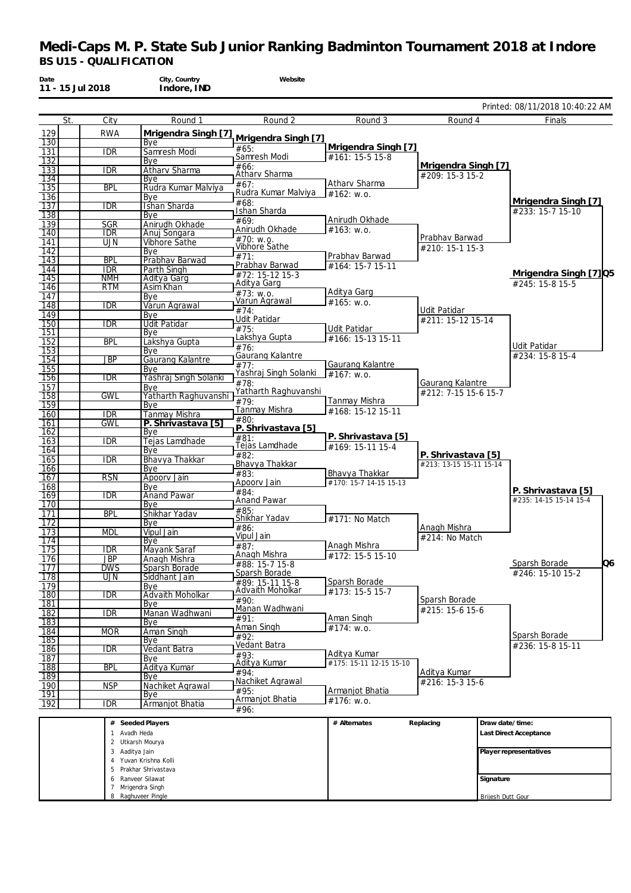| Date<br>11 - 15 Jul 2018 |                          | City, Country<br>Indore, IND         | Website                                    |                                    |                                   |                        |                                              |
|--------------------------|--------------------------|--------------------------------------|--------------------------------------------|------------------------------------|-----------------------------------|------------------------|----------------------------------------------|
|                          |                          |                                      |                                            |                                    |                                   |                        | Printed: 08/11/2018 10:40:22 AM              |
| St.                      | City                     | Round 1                              | Round 2                                    | Round 3                            | Round 4                           |                        | Finals                                       |
| 129                      | <b>RWA</b>               | Mrigendra Singh [7]                  | Mrigendra Singh [7]                        |                                    |                                   |                        |                                              |
| 130<br>131               | <b>IDR</b>               | Bye<br>Samresh Modi                  | #65:                                       | Mrigendra Singh [7]                |                                   |                        |                                              |
| 132                      |                          | Bye                                  | Samresh Modi                               | #161: 15-5 15-8                    | Mrigendra Singh [7]               |                        |                                              |
| 133                      | <b>IDR</b>               | Atharv Sharma                        | #66:<br>Athary Sharma                      |                                    | #209: 15-3 15-2                   |                        |                                              |
| 134<br>135               | <b>BPL</b>               | Bye<br>Rudra Kumar Malviya           | #67:                                       | Atharv Sharma                      |                                   |                        |                                              |
| 136                      |                          | Bve                                  | Rudra Kumar Malviya<br>#68:                | $#162$ : w.o.                      |                                   |                        | Mrigendra Singh [7]                          |
| 137<br>138               | <b>IDR</b>               | Ishan Sharda<br>Bye                  | Ishan Sharda                               |                                    |                                   |                        | #233: 15-7 15-10                             |
| 139                      | <b>SGR</b>               | Anirudh Okhade                       | #69:                                       | Anirudh Okhade                     |                                   |                        |                                              |
| 140                      | <b>IDR</b>               | Anuj Songara                         | Anirudh Okhade<br>#70: w.o.                | #163: W.0.                         | Prabhav Barwad                    |                        |                                              |
| 141<br>142               | <b>UJN</b>               | Vibhore Sathe<br>Bye                 | Vibhore Sathe                              |                                    | #210: 15-1 15-3                   |                        |                                              |
| 143                      | <b>BPL</b>               | Prabhav Barwad                       | #71:                                       | Prabhav Barwad                     |                                   |                        |                                              |
| 144                      | <b>IDR</b>               | Parth Singh                          | Prabhav Barwad<br>#72: 15-12 15-3          | #164: 15-7 15-11                   |                                   |                        | Mrigendra Singh [7] Q5                       |
| 145<br>146               | <b>NMH</b><br><b>RTM</b> | Aditya Garg<br>Asim Khan             | Aditya Garg                                |                                    |                                   |                        | #245: 15-8 15-5                              |
| 147                      |                          | Bye                                  | $\sqrt{\#73}$ : w.o.<br>Varun Agrawal      | Aditya Garg<br>#165: w.o.          |                                   |                        |                                              |
| 148                      | <b>IDR</b>               | Varun Agrawal                        | #74:                                       |                                    | Udit Patidar                      |                        |                                              |
| 149<br>150               | <b>IDR</b>               | Bye<br><b>Udit Patidar</b>           | Udit Patidar                               |                                    | #211: 15-12 15-14                 |                        |                                              |
| 151                      |                          | Bye                                  | #75:<br>Lakshya Gupta                      | Udit Patidar<br>#166: 15-13 15-11  |                                   |                        |                                              |
| 152<br>153               | <b>BPL</b>               | Lakshya Gupta                        | $\overline{76}$ :                          |                                    |                                   |                        | Udit Patidar                                 |
| 154                      | <b>JBP</b>               | Bye<br>Gaurang Kalantre              | Gaurang Kalantre                           |                                    |                                   |                        | #234: 15-8 15-4                              |
| 155                      |                          | Bve                                  | $\overline{77}$ :<br>Yashraj Singh Solanki | Gaurang Kalantre<br>#167: W.0.     |                                   |                        |                                              |
| 156<br>157               | <b>IDR</b>               | Yashraj Singh Solanki<br>Bye         | #78:                                       |                                    | Gaurang Kalantre                  |                        |                                              |
| 158                      | <b>GWL</b>               | Yatharth Raghuvanshi                 | Yatharth Raghuvanshi<br>#79:               |                                    | #212: 7-15 15-6 15-7              |                        |                                              |
| 159                      |                          | Bye                                  | Tanmay Mishra                              | Tanmay Mishra<br>#168: 15-12 15-11 |                                   |                        |                                              |
| 160<br>161               | <b>IDR</b><br>GWL        | Tanmay Mishra<br>P. Shrivastava [5]  | #80:                                       |                                    |                                   |                        |                                              |
| 162                      |                          | Bye                                  | P. Shrivastava [5]<br>#81:                 | P. Shrivastava [5]                 |                                   |                        |                                              |
| 163                      | <b>IDR</b>               | Tejas Lamdhade                       | Tejas Lamdhade                             | #169: 15-11 15-4                   |                                   |                        |                                              |
| 164<br>165               | <b>IDR</b>               | Bye<br>Bhavya Thakkar                | $\frac{1}{482}$ :                          |                                    | P. Shrivastava [5]                |                        |                                              |
| 166                      |                          | Bye                                  | Bhavya Thakkar<br>#83:                     | Bhavya Thakkar                     | #213: 13-15 15-11 15-14           |                        |                                              |
| 167<br>168               | <b>RSN</b>               | Apoorv Jain<br>Bye                   | Apoorv Jain                                | #170: 15-7 14-15 15-13             |                                   |                        |                                              |
| 169                      | $\overline{IDR}$         | <b>Anand Pawar</b>                   | #84:<br>Anand Pawar                        |                                    |                                   |                        | P. Shrivastava [5]<br>#235: 14-15 15-14 15-4 |
| 170                      |                          | Bye                                  | #85:                                       |                                    |                                   |                        |                                              |
| 171<br>$\overline{172}$  | <b>BPL</b>               | Shikhar Yadav<br>Bye                 | Shikhar Yadav                              | #171: No Match                     |                                   |                        |                                              |
| 173                      | <b>MDL</b>               | Vipul Jain                           | #86:<br>Vipul Jain                         |                                    | Anagh Mishra<br>$#214$ : No Match |                        |                                              |
| 174<br>175               | <b>IDR</b>               | Bye<br>Mayank Saraf                  | #87:                                       | Anagh Mishra                       |                                   |                        |                                              |
| 176                      | <b>JBP</b>               | Anagh Mishra                         | Anagh Mishra                               | #172: 15-5 15-10                   |                                   |                        | Q6                                           |
| 177                      | <b>DWS</b>               | Sparsh Borade                        | #88: 15-7 15-8<br>Sparsh Borade            |                                    |                                   |                        | Sparsh Borade<br>#246: 15-10 15-2            |
| 178<br>$\overline{179}$  | UJN                      | Siddhant Jain<br>Bye                 | #89: 15-11 15-8                            | Sparsh Borade                      |                                   |                        |                                              |
| 180                      | idr                      | Advaith Moholkar                     | Advaith Moholkar<br>#90:                   | #173: 15-5 15-7                    | Sparsh Borade                     |                        |                                              |
| 181                      | IDR                      | Bye                                  | Manan Wadhwani                             |                                    | #215: 15-6 15-6                   |                        |                                              |
| 182<br>183               |                          | Manan Wadhwani<br>Bye                | #91:                                       | Aman Singh                         |                                   |                        |                                              |
| 184                      | <b>MOR</b>               | Aman Singh                           | Aman Singh<br>#92:                         | #174: w.o.                         |                                   |                        | Sparsh Borade                                |
| 185<br>186               | <b>IDR</b>               | Bye<br>Vedant Batra                  | Vedant Batra                               |                                    |                                   |                        | #236: 15-8 15-11                             |
| 187                      |                          | Bye                                  | #93:                                       | Aditya Kumar                       |                                   |                        |                                              |
| 188                      | <b>BPL</b>               | Aditya Kumar                         | Aditya Kumar<br>#94:                       | #175: 15-11 12-15 15-10            | Aditya Kumar                      |                        |                                              |
| 189<br>190               | NSP                      | Bye<br>Nachiket Agrawal              | Nachiket Agrawal                           |                                    | #216: 15-3 15-6                   |                        |                                              |
| 191                      |                          | Bye                                  | #95:                                       | Armanjot Bhatia                    |                                   |                        |                                              |
| 192                      | <b>IDR</b>               | Armanjot Bhatia                      | Armanjot Bhatia<br>#96:                    | #176: w.o.                         |                                   |                        |                                              |
|                          |                          | # Seeded Players                     |                                            | # Alternates                       | Replacing                         | Draw date/time:        |                                              |
|                          |                          | Avadh Heda                           |                                            |                                    |                                   | Last Direct Acceptance |                                              |
|                          |                          | 2 Utkarsh Mourya                     |                                            |                                    |                                   |                        |                                              |
|                          | 3 Aaditya Jain           | Yuvan Krishna Kolli                  |                                            |                                    |                                   | Player representatives |                                              |
|                          |                          | 5 Prakhar Shrivastava                |                                            |                                    |                                   |                        |                                              |
|                          | 6                        | Ranveer Silawat<br>7 Mrigendra Singh |                                            |                                    |                                   | Signature              |                                              |
|                          |                          | Raghuveer Pingle                     |                                            |                                    |                                   | Brijesh Dutt Gour      |                                              |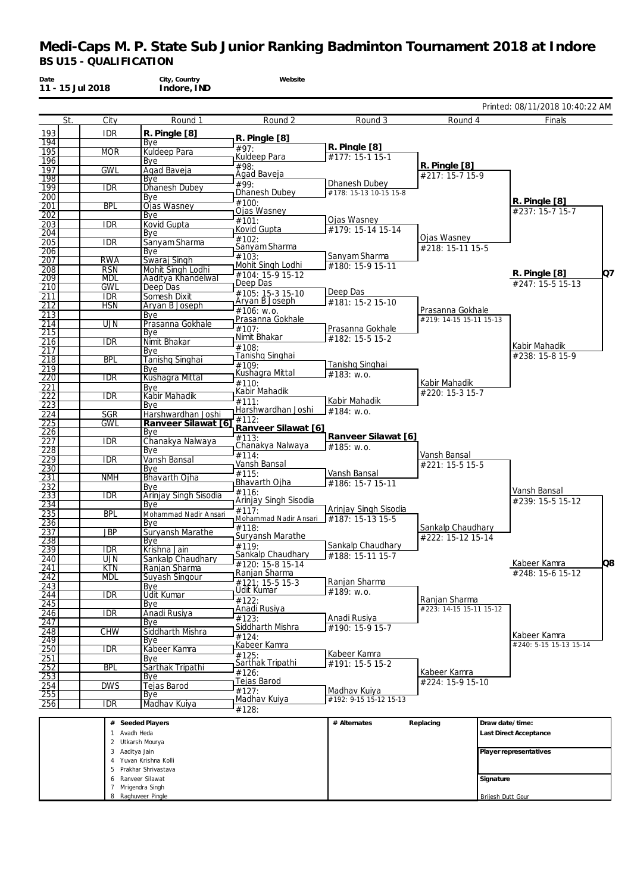| Date              | 11 - 15 Jul 2018         | City, Country<br>Indore, IND       | Website                                  |                               |                                             |                   |                                 |    |
|-------------------|--------------------------|------------------------------------|------------------------------------------|-------------------------------|---------------------------------------------|-------------------|---------------------------------|----|
|                   |                          |                                    |                                          |                               |                                             |                   | Printed: 08/11/2018 10:40:22 AM |    |
|                   | St.<br>City              | Round 1                            | Round 2                                  | Round 3                       | Round 4                                     |                   | Finals                          |    |
| 193<br>194        | <b>IDR</b>               | R. Pingle [8]<br>Bye               | $R.$ Pingle $[8]$                        |                               |                                             |                   |                                 |    |
| 195               | <b>MOR</b>               | <b>Kuldeep Para</b>                | #97:                                     | R. Pingle [8]                 |                                             |                   |                                 |    |
| 196               |                          | Bye                                | Kuldeep Para<br>#98:                     | #177: 15-1 15-1               | R. Pingle [8]                               |                   |                                 |    |
| 197<br>198        | <b>GWL</b>               | Agad Baveja                        | Agad Baveja                              |                               | #217: 15-7 15-9                             |                   |                                 |    |
| 199               | <b>IDR</b>               | Bye<br><b>Dhanesh Dubey</b>        | #99:                                     | Dhanesh Dubey                 |                                             |                   |                                 |    |
| 200               |                          | Bve                                | Dhanesh Dubey<br>#100:                   | #178: 15-13 10-15 15-8        |                                             |                   | R. Pingle [8]                   |    |
| 201<br>202        | <b>BPL</b>               | <b>Ojas Wasney</b><br>Bye          | Ojas Wasney                              |                               |                                             |                   | #237: 15-7 15-7                 |    |
| 203               | <b>IDR</b>               | Kovid Gupta                        | #101:                                    | Ojas Wasney                   |                                             |                   |                                 |    |
| 204               |                          | Bye                                | Kovid Gupta<br>#102:                     | #179: 15-14 15-14             | Ojas Wasney                                 |                   |                                 |    |
| 205               | <b>IDR</b>               | Sanyam Sharma                      | Sanyam Sharma                            |                               | #218: 15-11 15-5                            |                   |                                 |    |
| 206<br>207        | <b>RWA</b>               | Bye<br>Swaraj Singh                | $\frac{1}{103}$                          | Sanyam Sharma                 |                                             |                   |                                 |    |
| 208               | <b>RSN</b>               | Mohit Singh Lodhi                  | Mohit Singh Lodhi<br>#104: 15-9 15-12    | #180: 15-9 15-11              |                                             |                   | R. Pingle [8]                   | Q7 |
| 209               | <b>MDL</b>               | Aaditya Khandelwal                 | Deep Das                                 |                               |                                             |                   | #247: 15-5 15-13                |    |
| 210               | <b>GWL</b><br><b>IDR</b> | Deep Das<br>Somesh Dixit           | #105: 15-3 15-10                         | Deep Das                      |                                             |                   |                                 |    |
| $\frac{211}{212}$ | <b>HSN</b>               | Aryan B Joseph                     | Aryan B Joseph                           | #181: 15-2 15-10              |                                             |                   |                                 |    |
| 213               |                          | Bye                                | #106: w.o.                               |                               | Prasanna Gokhale<br>#219: 14-15 15-11 15-13 |                   |                                 |    |
| 214               | UJN                      | Prasanna Gokhale                   | Prasanna Gokhale<br>#107:                | Prasanna Gokhale              |                                             |                   |                                 |    |
| 215               |                          | Bye<br>Nimit Bhakar                | Nimit Bhakar                             | #182: 15-5 15-2               |                                             |                   |                                 |    |
| 216<br>217        | <b>IDR</b>               | Bye                                | $\frac{1}{#108}$                         |                               |                                             |                   | Kabir Mahadik                   |    |
| 218               | <b>BPL</b>               | <b>Tanishq Singhai</b>             | Tanishq Singhai                          |                               |                                             |                   | #238: 15-8 15-9                 |    |
| 219               |                          | Bye                                | #109:<br>Kushagra Mittal                 | Tanishq Singhai<br>#183: w.o. |                                             |                   |                                 |    |
| 220<br>221        | <b>IDR</b>               | Kushagra Mittal<br>Bye             | #110:                                    |                               | Kabir Mahadik                               |                   |                                 |    |
| 222               | <b>IDR</b>               | Kabir Mahadik                      | Kabir Mahadik                            |                               | #220: 15-3 15-7                             |                   |                                 |    |
| 223               |                          | Bye                                | #111:                                    | Kabir Mahadik                 |                                             |                   |                                 |    |
| 224               | <b>SGR</b>               | Harshwardhan Joshi                 | Harshwardhan Joshi<br>#112:              | #184: w.o.                    |                                             |                   |                                 |    |
| 225<br>226        | GWL                      | Ranveer Silawat [6]<br>Bye         | Ranveer Silawat [6]                      |                               |                                             |                   |                                 |    |
| 227               | <b>IDR</b>               | Chanakya Nalwaya                   | #113:                                    | Ranveer Silawat [6]           |                                             |                   |                                 |    |
| 228               |                          | Bye                                | Chanakya Nalwaya<br>#114:                | #185: W.0.                    | Vansh Bansal                                |                   |                                 |    |
| 229               | <b>IDR</b>               | Vansh Bansal                       | Vansh Bansal                             |                               | #221: 15-5 15-5                             |                   |                                 |    |
| 230<br>231        | <b>NMH</b>               | Bye<br>Bhavarth Ojha               | #115:                                    | Vansh Bansal                  |                                             |                   |                                 |    |
| 232               |                          | Bye                                | Bhavarth Ojha                            | #186: 15-7 15-11              |                                             |                   | Vansh Bansal                    |    |
| 233               | $\overline{\text{IDR}}$  | Arinjay Singh Sisodia              | #116:<br>Arinjay Singh Sisodia           |                               |                                             |                   | #239: 15-5 15-12                |    |
| 234               |                          | Bye                                | #117:                                    | Arinjay Singh Sisodia         |                                             |                   |                                 |    |
| 235<br>236        | <b>BPL</b>               | Mohammad Nadir Ansari<br>Bye       | Mohammad Nadir Ansari                    | #187: 15-13 15-5              |                                             |                   |                                 |    |
| 237               | <b>JBP</b>               | Suryansh Marathe                   | #118:                                    |                               | Sankalp Chaudhary                           |                   |                                 |    |
| 238               |                          | Bye                                | Suryansh Marathe<br>#119:                | Sankalp Chaudhary             | #222: 15-12 15-14                           |                   |                                 |    |
| 239               | <b>IDR</b>               | Krishna Jain                       | Sankalp Chaudhary                        | #188: 15-11 15-7              |                                             |                   |                                 |    |
| 240<br>241        | <b>UJN</b><br><b>KTN</b> | Sankalp Chaudhary<br>Ranjan Sharma | #120: 15-8 15-14                         |                               |                                             |                   | Kabeer Kamra                    | Q8 |
| 242               | <b>MDL</b>               | Suyash Singour                     | Ranjan Sharma                            |                               |                                             |                   | #248: 15-6 15-12                |    |
| $\overline{243}$  |                          | Bye                                | #121: 15-5 15-3<br>Udit Kumar            | Ranjan Sharma<br>#189: w.o.   |                                             |                   |                                 |    |
| 244<br>245        | <b>IDR</b>               | <b>Udit Kumar</b><br>Bye           | #122:                                    |                               | Ranjan Sharma                               |                   |                                 |    |
| 246               | IDR                      | Anadi Rusiya                       | Anadi Rusiya                             |                               | #223: 14-15 15-11 15-12                     |                   |                                 |    |
| 247               |                          | Bye                                | $\overline{\#}$ 123:<br>Siddharth Mishra | Anadi Rusiya                  |                                             |                   |                                 |    |
| 248               | <b>CHW</b>               | Siddharth Mishra                   | #124:                                    | #190: 15-9 15-7               |                                             |                   | Kabeer Kamra                    |    |
| 249<br>250        | <b>IDR</b>               | Bye<br>Kabeer Kamra                | Kabeer Kamra                             |                               |                                             |                   | #240: 5-15 15-13 15-14          |    |
| 251               |                          | Bye                                | #125:                                    | Kabeer Kamra                  |                                             |                   |                                 |    |
| $\overline{252}$  | <b>BPL</b>               | Sarthak Tripathi                   | Sarthak Tripathi                         | #191: 15-5 15-2               |                                             |                   |                                 |    |
| 253               |                          | Bye                                | $\frac{1}{4}126$ :<br>Tejas Barod        |                               | Kabeer Kamra<br>#224: 15-9 15-10            |                   |                                 |    |
| 254               | <b>DWS</b>               | Tejas Barod                        | #127:                                    | Madhav Kuiya                  |                                             |                   |                                 |    |
| 255<br>256        | <b>IDR</b>               | Bye<br>Madhav Kuiya                | Madhav Kuiya                             | #192: 9-15 15-12 15-13        |                                             |                   |                                 |    |
|                   |                          |                                    | #128:                                    |                               |                                             |                   |                                 |    |
|                   |                          | # Seeded Players                   |                                          | # Alternates                  | Replacing                                   | Draw date/time:   |                                 |    |
|                   | 1                        | Avadh Heda                         |                                          |                               |                                             |                   | Last Direct Acceptance          |    |
|                   |                          | 2 Utkarsh Mourya                   |                                          |                               |                                             |                   |                                 |    |
|                   | 3 Aaditya Jain           | 4 Yuvan Krishna Kolli              |                                          |                               |                                             |                   | Player representatives          |    |
|                   |                          | 5 Prakhar Shrivastava              |                                          |                               |                                             |                   |                                 |    |
|                   | 6                        | Ranveer Silawat                    |                                          |                               |                                             | Signature         |                                 |    |
|                   |                          | 7 Mrigendra Singh                  |                                          |                               |                                             |                   |                                 |    |
|                   |                          | 8 Raghuveer Pingle                 |                                          |                               |                                             | Brijesh Dutt Gour |                                 |    |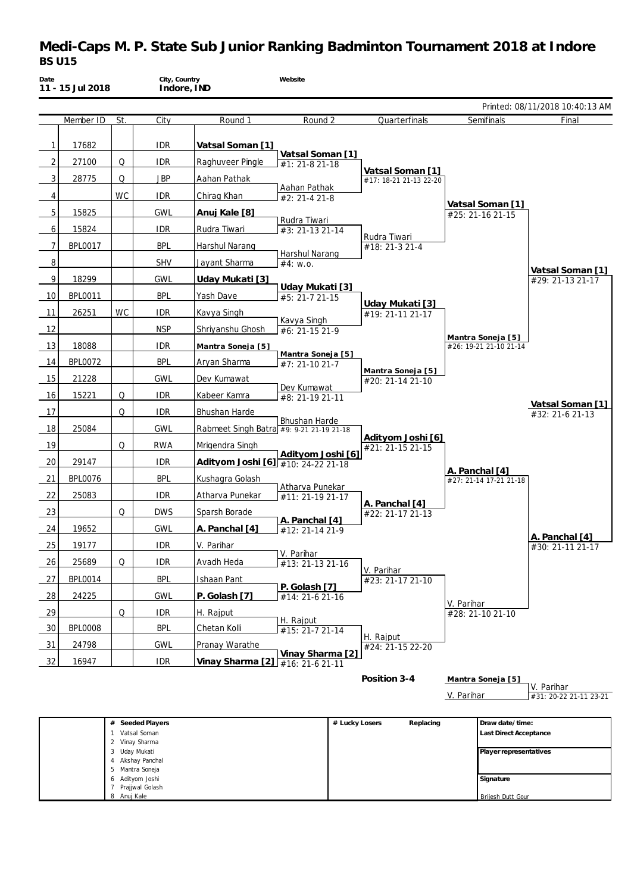# **Medi-Caps M. P. State Sub Junior Ranking Badminton Tournament 2018 at Indore** *BS U15*

| Date | 11 - 15 Jul 2018 |           | City, Country<br>Indore, IND |                                          | Website                                  |                                            |                                             |                                      |
|------|------------------|-----------|------------------------------|------------------------------------------|------------------------------------------|--------------------------------------------|---------------------------------------------|--------------------------------------|
|      |                  |           |                              |                                          |                                          |                                            |                                             | Printed: 08/11/2018 10:40:13 AM      |
|      | Member ID        | St.       | City                         | Round 1                                  | Round 2                                  | Quarterfinals                              | Semifinals                                  | Final                                |
| 1    | 17682            |           | <b>IDR</b>                   | Vatsal Soman [1]                         | Vatsal Soman [1]                         |                                            |                                             |                                      |
| 2    | 27100            | Q         | <b>IDR</b>                   | Raghuveer Pingle                         | #1: 21-8 21-18                           |                                            |                                             |                                      |
| 3    | 28775            | Q         | <b>JBP</b>                   | Aahan Pathak                             |                                          | Vatsal Soman [1]<br>#17: 18-21 21-13 22-20 |                                             |                                      |
| 4    |                  | <b>WC</b> | <b>IDR</b>                   | Chirag Khan                              | Aahan Pathak<br>#2: 21-4 21-8            |                                            |                                             |                                      |
| 5    | 15825            |           | <b>GWL</b>                   | Anuj Kale [8]                            |                                          |                                            | Vatsal Soman [1]<br>#25: 21-16 21-15        |                                      |
| 6    | 15824            |           | <b>IDR</b>                   | Rudra Tiwari                             | Rudra Tiwari<br>#3: 21-13 21-14          |                                            |                                             |                                      |
| 7    | <b>BPL0017</b>   |           | <b>BPL</b>                   | <b>Harshul Narang</b>                    |                                          | Rudra Tiwari<br>#18: 21-3 21-4             |                                             |                                      |
| 8    |                  |           | <b>SHV</b>                   | Jayant Sharma                            | <b>Harshul Narang</b><br>#4: W.0.        |                                            |                                             |                                      |
| 9    | 18299            |           | <b>GWL</b>                   | Uday Mukati [3]                          |                                          |                                            |                                             | Vatsal Soman [1]<br>#29: 21-13 21-17 |
| 10   | <b>BPL0011</b>   |           | <b>BPL</b>                   | Yash Dave                                | <u>Uday Mukati [3]</u><br>#5: 21-7 21-15 |                                            |                                             |                                      |
| 11   | 26251            | WC        | <b>IDR</b>                   | Kavya Singh                              |                                          | Uday Mukati [3]<br>#19: 21-11 21-17        |                                             |                                      |
| 12   |                  |           | <b>NSP</b>                   | Shriyanshu Ghosh                         | Kavya Singh<br>#6: 21-15 21-9            |                                            |                                             |                                      |
| 13   | 18088            |           | <b>IDR</b>                   | Mantra Soneja [5]                        |                                          |                                            | Mantra Soneja [5]<br>#26: 19-21 21-10 21-14 |                                      |
| 14   | <b>BPL0072</b>   |           | <b>BPL</b>                   | Aryan Sharma                             | Mantra Soneja [5]<br>#7: 21-10 21-7      |                                            |                                             |                                      |
| 15   | 21228            |           | <b>GWL</b>                   | Dev Kumawat                              |                                          | <u> Mantra Soneja [5]</u>                  |                                             |                                      |
| 16   | 15221            | Q         | <b>IDR</b>                   | Kabeer Kamra                             | Dev Kumawat<br>#8: 21-19 21-11           | #20: 21-14 21-10                           |                                             |                                      |
| 17   |                  | Q         | <b>IDR</b>                   | Bhushan Harde                            |                                          |                                            |                                             | Vatsal Soman [1]                     |
| 18   | 25084            |           | <b>GWL</b>                   | Rabmeet Singh Batra #9: 9-21 21-19 21-18 | Bhushan Harde                            |                                            |                                             | #32: 21-6 21-13                      |
| 19   |                  | Q         | <b>RWA</b>                   | Mrigendra Singh                          |                                          | Adityom Joshi [6]                          |                                             |                                      |
| 20   | 29147            |           | <b>IDR</b>                   |                                          | Adityom Joshi [6]                        | #21: 21-15 21-15                           |                                             |                                      |
| 21   | <b>BPL0076</b>   |           | <b>BPL</b>                   | Adityom Joshi [6] #10: 24-22 21-18       |                                          |                                            | A. Panchal [4]                              |                                      |
|      |                  |           |                              | Kushagra Golash                          | Atharva Punekar                          |                                            | #27: 21-14 17-21 21-18                      |                                      |
| 22   | 25083            |           | <b>IDR</b>                   | Atharva Punekar                          | #11: 21-19 21-17                         | A. Panchal [4]                             |                                             |                                      |
| 23   |                  | Q         | <b>DWS</b>                   | Sparsh Borade                            | A. Panchal [4]                           | #22: 21-17 21-13                           |                                             |                                      |
| 24   | 19652            |           | <b>GWL</b>                   | A. Panchal [4]                           | #12: 21-14 21-9                          |                                            |                                             | A. Panchal [4]                       |
| 25   | 19177            |           | <b>IDR</b>                   | V. Parihar                               | V. Parihar                               |                                            |                                             | #30: 21-11 21-17                     |
| 26   | 25689            | Q         | idr                          | Avadh Heda                               | #13: 21-13 21-16                         | V. Parihar                                 |                                             |                                      |
| 27   | <b>BPL0014</b>   |           | <b>BPL</b>                   | Ishaan Pant                              | P. Golash [7]                            | #23: 21-17 21-10                           |                                             |                                      |
| 28   | 24225            |           | <b>GWL</b>                   | P. Golash [7]                            | #14: 21-6 21-16                          |                                            | V. Parihar                                  |                                      |
| 29   |                  | Q         | <b>IDR</b>                   | H. Rajput                                | H. Rajput                                |                                            | #28: 21-10 21-10                            |                                      |
| 30   | <b>BPL0008</b>   |           | <b>BPL</b>                   | Chetan Kolli                             | #15: 21-7 21-14                          | H. Rajput                                  |                                             |                                      |
| 31   | 24798            |           | <b>GWL</b>                   | Pranay Warathe                           | Vinay Sharma [2]                         | #24: 21-15 22-20                           |                                             |                                      |
| 32   | 16947            |           | <b>IDR</b>                   | Vinay Sharma [2] #16: 21-6 21-11         |                                          |                                            |                                             |                                      |
|      |                  |           |                              |                                          |                                          | Position 3-4                               | Mantra Soneja [5]                           | V. Parihar                           |
|      |                  |           |                              |                                          |                                          |                                            | V. Parihar                                  | #31: 20-22 21-11 23-21               |
|      |                  |           |                              |                                          |                                          |                                            |                                             |                                      |

| # Seeded Players    | # Lucky Losers | Replacing | Draw date/time:               |
|---------------------|----------------|-----------|-------------------------------|
| Vatsal Soman        |                |           | <b>Last Direct Acceptance</b> |
| 2 Vinay Sharma      |                |           |                               |
| Uday Mukati<br>3    |                |           | Player representatives        |
| Akshay Panchal<br>4 |                |           |                               |
| 5 Mantra Soneja     |                |           |                               |
| 6 Adityom Joshi     |                |           | Signature                     |
| Prajjwal Golash     |                |           |                               |
| 8 Anuj Kale         |                |           | Brijesh Dutt Gour             |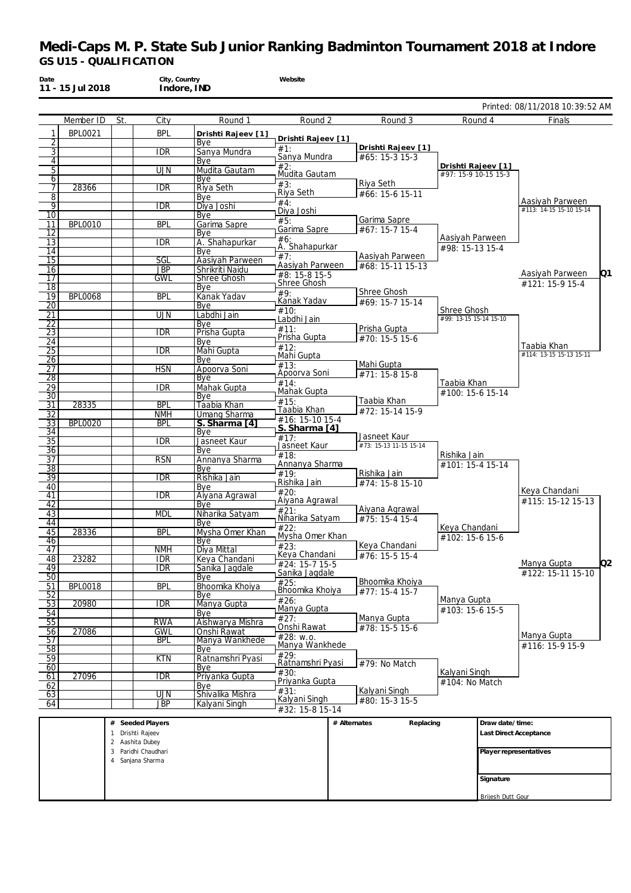Printed: 08/11/2018 10:39:52 AM

| Date | 11 - 15 Jul 2018 | City, Country<br>Indore, IND |         | Website |         |
|------|------------------|------------------------------|---------|---------|---------|
|      |                  |                              |         |         |         |
|      | Member ID        | Citv                         | Round 1 | Round 2 | Round 3 |

|                                    | Member ID      | St.          | City                              | Round 1                   | Round 2                          |              | Round 3                |                        | Round 4           | Finals                                     |
|------------------------------------|----------------|--------------|-----------------------------------|---------------------------|----------------------------------|--------------|------------------------|------------------------|-------------------|--------------------------------------------|
| 1                                  | <b>BPL0021</b> |              | <b>BPL</b>                        | Drishti Rajeev [1]        |                                  |              |                        |                        |                   |                                            |
| 2                                  |                |              |                                   | Bye                       | Drishti Rajeev [1]<br>#1:        |              | Drishti Rajeev [1]     |                        |                   |                                            |
| $\overline{3}$                     |                |              | <b>IDR</b>                        | Sanya Mundra              | Sanya Mundra                     |              | #65: 15-3 15-3         |                        |                   |                                            |
| $\overline{4}$<br>5                |                |              | <b>UJN</b>                        | Bye<br>Mudita Gautam      | #2:                              |              |                        | Drishti Rajeev [1]     |                   |                                            |
| 6                                  |                |              |                                   | Bye                       | Mudita Gautam                    |              |                        | #97: 15-9 10-15 15-3   |                   |                                            |
| 7                                  | 28366          |              | <b>IDR</b>                        | Riya Seth                 | #3:                              |              | Riya Seth              |                        |                   |                                            |
| 8                                  |                |              |                                   | Bye                       | Riya Seth                        |              | #66: 15-6 15-11        |                        |                   |                                            |
| 9                                  |                |              | <b>IDR</b>                        | Diya Joshi                | #4:<br>Diya Joshi                |              |                        |                        |                   | Aasiyah Parween<br>#113: 14-15 15-10 15-14 |
| $\overline{10}$                    |                |              |                                   | Bye                       | #5:                              |              | Garima Sapre           |                        |                   |                                            |
| 11                                 | <b>BPL0010</b> |              | <b>BPL</b>                        | Garima Sapre              | Garima Sapre                     |              | #67: 15-7 15-4         |                        |                   |                                            |
| 12<br>$\overline{13}$              |                |              | <b>IDR</b>                        | Bye<br>A. Shahapurkar     | #6:                              |              |                        | Aasiyah Parween        |                   |                                            |
| $\overline{14}$                    |                |              |                                   | Bye                       | A. Shahapurkar                   |              |                        | #98: 15-13 15-4        |                   |                                            |
| $\overline{15}$                    |                |              | SGL                               | Aasiyah Parween           | #7:                              |              | Aasiyah Parween        |                        |                   |                                            |
| 16                                 |                |              | <b>JBP</b>                        | Shrikriti Naidu           | Aasiyah Parween<br>#8: 15-8 15-5 |              | #68: 15-11 15-13       |                        |                   | Aasiyah Parween<br>Q1                      |
| $\overline{17}$                    |                |              | GWL                               | Shree Ghosh               | Shree Ghosh                      |              |                        |                        |                   | #121: 15-9 15-4                            |
| $\overline{18}$                    |                |              |                                   | Bye                       | #9:                              |              | Shree Ghosh            |                        |                   |                                            |
| 19<br>$\overline{20}$              | <b>BPL0068</b> |              | <b>BPL</b>                        | Kanak Yadav<br>Bye        | Kanak Yadav                      |              | #69: 15-7 15-14        |                        |                   |                                            |
| 21                                 |                |              | UJN                               | Labdhi Jain               | #10:                             |              |                        | Shree Ghosh            |                   |                                            |
| $\overline{22}$                    |                |              |                                   | Bye                       | Labdhi Jain                      |              |                        | #99: 13-15 15-14 15-10 |                   |                                            |
| 23                                 |                |              | $\overline{\text{IDR}}$           | Prisha Gupta              | #11:<br>Prisha Gupta             |              | Prisha Gupta           |                        |                   |                                            |
| $\overline{24}$                    |                |              |                                   | Bye                       | #12:                             |              | #70: 15-5 15-6         |                        |                   | Taabia Khan                                |
| $\overline{25}$                    |                |              | $\overline{\text{IDR}}$           | Mahi Gupta                | Mahi Gupta                       |              |                        |                        |                   | #114: 13-15 15-13 15-11                    |
| 26<br>$\overline{27}$              |                |              | <b>HSN</b>                        | Bye<br>Apoorva Soni       | #13:                             |              | Mahi Gupta             |                        |                   |                                            |
| $\overline{28}$                    |                |              |                                   | Bye                       | Apoorva Soni                     |              | #71: 15-8 15-8         |                        |                   |                                            |
| 29                                 |                |              | <b>IDR</b>                        | Mahak Gupta               | #14:                             |              |                        | Taabia Khan            |                   |                                            |
| $\overline{30}$                    |                |              |                                   | Bye                       | Mahak Gupta<br>#15:              |              | Taabia Khan            | #100: 15-6 15-14       |                   |                                            |
| $\overline{31}$                    | 28335          |              | <b>BPL</b>                        | Taabia Khan               | Taabia Khan                      |              | #72: 15-14 15-9        |                        |                   |                                            |
| $\overline{32}$                    |                |              | <b>NMH</b>                        | Umang Sharma              | #16: 15-10 15-4                  |              |                        |                        |                   |                                            |
| $\overline{33}$<br>$\overline{34}$ | <b>BPL0020</b> |              | <b>BPL</b>                        | S. Sharma [4]<br>Bye      | S. Sharma [4]                    |              |                        |                        |                   |                                            |
| $\overline{35}$                    |                |              | <b>IDR</b>                        | Jasneet Kaur              | #17:                             |              | Jasneet Kaur           |                        |                   |                                            |
| $\overline{36}$                    |                |              |                                   | Bye                       | Jasneet Kaur                     |              | #73: 15-13 11-15 15-14 |                        |                   |                                            |
| $\overline{37}$                    |                |              | <b>RSN</b>                        | Annanya Sharma            | #18:<br>Annanya Sharma           |              |                        | Rishika Jain           |                   |                                            |
| $\overline{38}$                    |                |              |                                   | Bye                       | #19:                             |              | Rishika Jain           | #101: 15-4 15-14       |                   |                                            |
| $\overline{39}$                    |                |              | $\overline{IDR}$                  | Rishika Jain              | Rishika Jain                     |              | #74: 15-8 15-10        |                        |                   |                                            |
| 40<br>41                           |                |              | <b>IDR</b>                        | Bye<br>Aiyana Agrawal     | #20:                             |              |                        |                        |                   | Keya Chandani                              |
| $\overline{42}$                    |                |              |                                   | <b>Bye</b>                | Aiyana Agrawal                   |              |                        |                        |                   | #115: 15-12 15-13                          |
| 43                                 |                |              | <b>MDL</b>                        | Niharika Satyam           | #21:                             |              | Aiyana Agrawal         |                        |                   |                                            |
| 44                                 |                |              |                                   | Bye                       | Niharika Satyam<br>#22:          |              | #75: 15-4 15-4         | Keya Chandani          |                   |                                            |
| 45                                 | 28336          |              | <b>BPL</b>                        | Mysha Omer Khan           | Mysha Omer Khan                  |              |                        | #102: 15-6 15-6        |                   |                                            |
| 46<br>47                           |                |              | <b>NMH</b>                        | <b>Bye</b><br>Diya Mittal | $\overline{423}$ :               |              | Keya Chandani          |                        |                   |                                            |
| 48                                 | 23282          |              | <b>IDR</b>                        | Keya Chandani             | Keya Chandani                    |              | #76: 15-5 15-4         |                        |                   |                                            |
| 49                                 |                |              | idr                               | Sanika Jagdale            | #24: 15-7 15-5                   |              |                        |                        |                   | O <sub>2</sub><br>Manya Gupta              |
| $\overline{50}$                    |                |              |                                   | Bye                       | Sanika Jagdale                   |              | Bhoomika Khoiya        |                        |                   | #122: 15-11 15-10                          |
| 51                                 | <b>BPL0018</b> |              | <b>BPL</b>                        | Bhoomika Khoiya           | #25:<br>Bhoomika Khoiya          |              | _  #77: 15-4 15-7      |                        |                   |                                            |
| 52<br>$\overline{53}$              | 20980          |              | $\overline{\text{IDR}}$           | <b>Bye</b><br>Manya Gupta | #26:                             |              |                        | Manya Gupta            |                   |                                            |
| 54                                 |                |              |                                   | Bve                       | Manya Gupta                      |              |                        | #103: 15-6 15-5        |                   |                                            |
| $\overline{55}$                    |                |              | <b>RWA</b>                        | Aishwarya Mishra          | #27:                             |              | Manya Gupta            |                        |                   |                                            |
| 56                                 | 27086          |              | <b>GWL</b>                        | Onshi Rawat               | Onshi Rawat                      |              | #78: 15-5 15-6         |                        |                   | Manya Gupta                                |
| 57                                 |                |              | <b>BPL</b>                        | Manya Wankhede            | #28: w.o.<br>Manya Wankhede      |              |                        |                        |                   | #116: 15-9 15-9                            |
| $\overline{58}$                    |                |              |                                   | Bye                       | #29:                             |              |                        |                        |                   |                                            |
| 59<br>60                           |                |              | <b>KTN</b>                        | Ratnamshri Pyasi<br>Bye   | Ratnamshri Pyasi                 |              | #79: No Match          |                        |                   |                                            |
| 61                                 | 27096          |              | idr                               | Priyanka Gupta            | #30:                             |              |                        | Kalyani Singh          |                   |                                            |
| 62                                 |                |              |                                   | Bve                       | Priyanka Gupta                   |              |                        | #104: No Match         |                   |                                            |
| 63                                 |                |              | UJN                               | Shivalika Mishra          | #31:<br>Kalyani Singh            |              | Kalyani Singh          |                        |                   |                                            |
| 64                                 |                |              | <b>JBP</b>                        | Kalyani Singh             | #32: 15-8 15-14                  |              | #80: 15-3 15-5         |                        |                   |                                            |
|                                    |                |              |                                   |                           |                                  |              |                        |                        |                   |                                            |
|                                    |                | $\#$         | Seeded Players                    |                           |                                  | # Alternates | Replacing              |                        | Draw date/time:   |                                            |
|                                    |                | $\mathbf{1}$ | Drishti Rajeev<br>2 Aashita Dubey |                           |                                  |              |                        |                        |                   | Last Direct Acceptance                     |
|                                    |                |              | 3 Paridhi Chaudhari               |                           |                                  |              |                        |                        |                   | Player representatives                     |
|                                    |                |              | 4 Sanjana Sharma                  |                           |                                  |              |                        |                        |                   |                                            |
|                                    |                |              |                                   |                           |                                  |              |                        |                        |                   |                                            |
|                                    |                |              |                                   |                           |                                  |              |                        |                        | Signature         |                                            |
|                                    |                |              |                                   |                           |                                  |              |                        |                        | Brijesh Dutt Gour |                                            |
|                                    |                |              |                                   |                           |                                  |              |                        |                        |                   |                                            |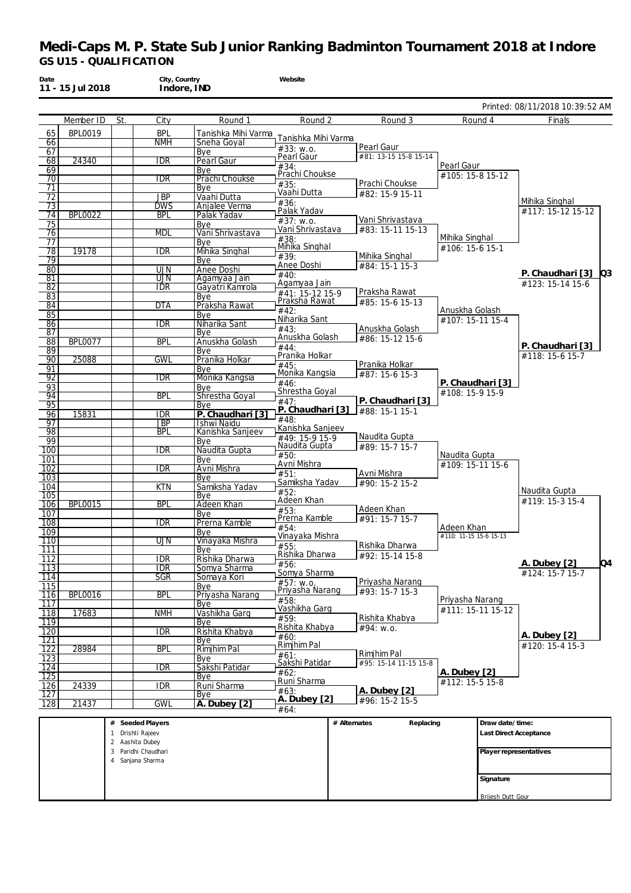|                         | 11 - 15 Jul 2018 |     | City, Country<br>Indore, IND |                         | Website                         |                                      |                        |                                         |
|-------------------------|------------------|-----|------------------------------|-------------------------|---------------------------------|--------------------------------------|------------------------|-----------------------------------------|
|                         |                  |     |                              |                         |                                 |                                      |                        | Printed: 08/11/2018 10:39:52 AM         |
|                         | Member ID        | St. | City                         | Round 1                 | Round 2                         | Round 3                              | Round 4                | Finals                                  |
| 65                      | <b>BPL0019</b>   |     | <b>BPL</b>                   | Tanishka Mihi Varma     | Tanishka Mihi Varma             |                                      |                        |                                         |
| 66                      |                  |     | <b>NMH</b>                   | Sneha Goyal             | #33: w.o.                       | Pearl Gaur                           |                        |                                         |
| 67                      | 24340            |     | <b>IDR</b>                   | Bye<br>Pearl Gaur       | Pearl Gaur                      | #81: 13-15 15-8 15-14                |                        |                                         |
| 68<br>69                |                  |     |                              | Bye                     | #34:                            |                                      | Pearl Gaur             |                                         |
| 70                      |                  |     | <b>IDR</b>                   | Prachi Choukse          | Prachi Choukse                  |                                      | #105: 15-8 15-12       |                                         |
| 71                      |                  |     |                              | Bye                     | #35:                            | Prachi Choukse                       |                        |                                         |
| $\overline{72}$         |                  |     | <b>JBP</b>                   | Vaahi Dutta             | Vaahi Dutta                     | #82: 15-9 15-11                      |                        | Mihika Singhal                          |
| 73                      |                  |     | <b>DWS</b>                   | Anjalee Verma           | #36:<br>Palak Yadav             |                                      |                        | #117: 15-12 15-12                       |
| 74                      | <b>BPL0022</b>   |     | <b>BPL</b>                   | Palak Yadav             | #37: w.o.                       | Vani Shrivastava                     |                        |                                         |
| 75                      |                  |     |                              | Bye                     | Vani Shrivastava                | #83: 15-11 15-13                     |                        |                                         |
| 76                      |                  |     | mdl                          | Vani Shrivastava<br>Bye | #38:                            |                                      | Mihika Singhal         |                                         |
| 77<br>78                | 19178            |     | <b>IDR</b>                   | Mihika Singhal          | Mihika Singhal                  |                                      | #106: 15-6 15-1        |                                         |
| 79                      |                  |     |                              | Bye                     | #39:                            | Mihika Singhal                       |                        |                                         |
| 80                      |                  |     | <b>UJN</b>                   | Anee Doshi              | Anee Doshi                      | #84: 15-1 15-3                       |                        |                                         |
| 81                      |                  |     | UJN                          | Agamyaa Jain            | #40:                            |                                      |                        | P. Chaudhari [3] Q3<br>#123: 15-14 15-6 |
| $\overline{82}$         |                  |     | <b>IDR</b>                   | Gayatri Kamrola         | Agamyaa Jain<br>#41: 15-12 15-9 | Praksha Rawat                        |                        |                                         |
| 83                      |                  |     |                              | Bye                     | Praksha Rawat                   | #85: 15-6 15-13                      |                        |                                         |
| 84                      |                  |     | <b>DTA</b>                   | Praksha Rawat           | #42:                            |                                      | Anuskha Golash         |                                         |
| 85<br>86                |                  |     | <b>IDR</b>                   | Bye<br>Niharika Sant    | Niharika Sant                   |                                      | #107: 15-11 15-4       |                                         |
| 87                      |                  |     |                              | Bye                     | #43:                            | Anuskha Golash                       |                        |                                         |
| 88                      | <b>BPL0077</b>   |     | <b>BPL</b>                   | Anuskha Golash          | Anuskha Golash                  | #86: 15-12 15-6                      |                        |                                         |
| $\overline{89}$         |                  |     |                              | Bye                     | #44:                            |                                      |                        | P. Chaudhari [3]                        |
| 90                      | 25088            |     | <b>GWL</b>                   | Pranika Holkar          | Pranika Holkar                  | Pranika Holkar                       |                        | #118: 15-6 15-7                         |
| 91                      |                  |     |                              | Bye                     | #45:<br>Monika Kangsia          | #87: 15-6 15-3                       |                        |                                         |
| 92                      |                  |     | IDR                          | Monika Kangsia          | #46:                            |                                      | P. Chaudhari [3]       |                                         |
| 93                      |                  |     | <b>BPL</b>                   | Bye                     | Shrestha Goyal                  |                                      | #108: 15-9 15-9        |                                         |
| 94<br>95                |                  |     |                              | Shrestha Goyal<br>Bye   | #47:                            | P. Chaudhari [3]                     |                        |                                         |
| 96                      | 15831            |     | <b>IDR</b>                   | P. Chaudhari [3]        | P. Chaudhari [3]                | $\#88:15-115-1$                      |                        |                                         |
| 97                      |                  |     | $\overline{\text{JBP}}$      | Ishwi Naidu             | #48:                            |                                      |                        |                                         |
| 98                      |                  |     | <b>BPL</b>                   | Kanishka Sanjeev        | Kanishka Sanjeev                |                                      |                        |                                         |
| 99                      |                  |     |                              | Bye                     | #49: 15-9 15-9<br>Naudita Gupta | Naudita Gupta<br>#89: 15-7 15-7      |                        |                                         |
| 100                     |                  |     | $\overline{\text{IDR}}$      | Naudita Gupta           | #50:                            |                                      | Naudita Gupta          |                                         |
| 101                     |                  |     |                              | Bye                     | Avni Mishra                     |                                      | #109: 15-11 15-6       |                                         |
| 102<br>$\overline{103}$ |                  |     | $\overline{IDR}$             | Avni Mishra<br>Bye      | #51:                            | Avni Mishra                          |                        |                                         |
| 104                     |                  |     | <b>KTN</b>                   | Samiksha Yadav          | Samiksha Yadav                  | #90: 15-2 15-2                       |                        |                                         |
| 105                     |                  |     |                              | Bye                     | #52:                            |                                      |                        | Naudita Gupta                           |
| 106                     | <b>BPL0015</b>   |     | <b>BPL</b>                   | Adeen Khan              | Adeen Khan                      |                                      |                        | #119: 15-3 15-4                         |
| 107                     |                  |     |                              | Bye                     | #53:<br>Prerna Kamble           | Adeen Khan<br>#91: 15-7 15-7         |                        |                                         |
| 108                     |                  |     | <b>IDR</b>                   | Prerna Kamble           | #54:                            |                                      | Adeen Khan             |                                         |
| 109                     |                  |     |                              | Bye                     | Vinayaka Mishra                 |                                      | #110: 11-15 15-6 15-13 |                                         |
| 110<br>111              |                  |     | UJN                          | Vinayaka Mishra<br>Bye  | #55:                            | Rishika Dharwa                       |                        |                                         |
| $\overline{112}$        |                  |     | <b>IDR</b>                   | Rishika Dharwa          | Rishika Dharwa                  | #92: 15-14 15-8                      |                        |                                         |
| 113                     |                  |     | <b>IDR</b>                   | Somya Sharma            | #56:                            |                                      |                        | A. Dubey [2]                            |
| $\overline{114}$        |                  |     | $\overline{\mathsf{SGR}}$    | Somaya Kori             | Somya Sharma                    |                                      |                        | #124: 15-7 15-7                         |
| 115                     |                  |     |                              | <b>Bye</b>              | #57: w.o.<br>Priyasha Narang    | Priyasha Narang<br>#93: 15-7 15-3    |                        |                                         |
| 116                     | <b>BPL0016</b>   |     | <b>BPL</b>                   | Priyasha Narang         | #58:                            |                                      | Priyasha Narang        |                                         |
| $\overline{117}$        |                  |     |                              | Bye                     | Vashikha Garg                   |                                      | #111: 15-11 15-12      |                                         |
| 118<br>119              | 17683            |     | <b>NMH</b>                   | Vashikha Garg<br>Bye    | #59:                            | Rishita Khabya                       |                        |                                         |
| 120                     |                  |     | <b>IDR</b>                   | Rishita Khabya          | Rishita Khabya                  | $#94$ : w.o.                         |                        |                                         |
| $\overline{121}$        |                  |     |                              | Bye                     | #60:                            |                                      |                        | A. Dubey [2]                            |
| $\overline{122}$        | 28984            |     | <b>BPL</b>                   | <b>Rimjhim Pal</b>      | Rimjhim Pal                     |                                      |                        | #120: 15-4 15-3                         |
| 123                     |                  |     |                              | Bye                     | #61:<br>Sakshi Patidar          | Rimjhim Pal<br>#95: 15-14 11-15 15-8 |                        |                                         |
|                         |                  |     | <b>IDR</b>                   | Sakshi Patidar          | #62:                            |                                      | A. Dubey [2]           |                                         |
| 124                     |                  |     |                              |                         |                                 |                                      |                        |                                         |
| 125                     |                  |     |                              | Bye                     |                                 |                                      |                        |                                         |
| 126<br>127              | 24339            |     | <b>IDR</b>                   | Runi Sharma<br>Bye      | Runi Sharma<br>#63:             | A. Dubey [2]                         | #112: 15-5 15-8        |                                         |

| Seeded Players<br>#     | # Alternates | Replacing | Draw date/time:               |
|-------------------------|--------------|-----------|-------------------------------|
| Drishti Rajeev          |              |           | <b>Last Direct Acceptance</b> |
| Aashita Dubey           |              |           |                               |
| Paridhi Chaudhari<br>۰. |              |           | Player representatives        |
| Sanjana Sharma          |              |           |                               |
|                         |              |           |                               |
|                         |              |           | Signature                     |
|                         |              |           |                               |
|                         |              |           | Brijesh Dutt Gour             |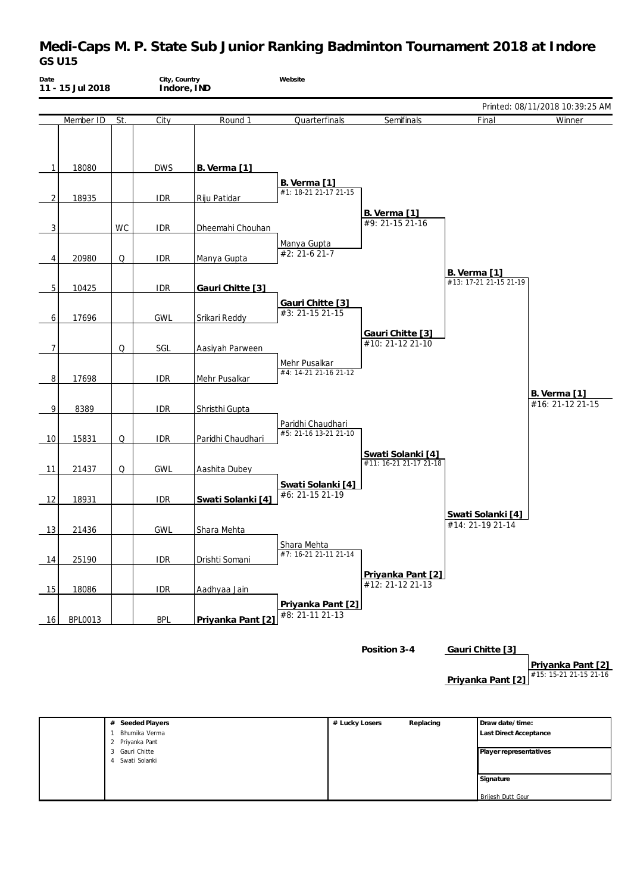# **Medi-Caps M. P. State Sub Junior Ranking Badminton Tournament 2018 at Indore** *GS U15*

| Date | 11 - 15 Jul 2018 |           | City, Country<br>Indore, IND |                     | Website                                    |                                             |                                               |                                             |
|------|------------------|-----------|------------------------------|---------------------|--------------------------------------------|---------------------------------------------|-----------------------------------------------|---------------------------------------------|
|      |                  |           |                              |                     |                                            |                                             |                                               | Printed: 08/11/2018 10:39:25 AM             |
|      | Member ID        | St.       | City                         | Round 1             | Quarterfinals                              | Semifinals                                  | Final                                         | Winner                                      |
| 1    | 18080            |           | <b>DWS</b>                   | <b>B.</b> Verma [1] |                                            |                                             |                                               |                                             |
| 2    | 18935            |           | <b>IDR</b>                   | Riju Patidar        | B. Verma [1]<br>#1: 18-21 21-17 21-15      |                                             |                                               |                                             |
| 3    |                  | <b>WC</b> | <b>IDR</b>                   | Dheemahi Chouhan    |                                            | B. Verma [1]<br>#9: 21-15 21-16             |                                               |                                             |
| 4    | 20980            | Q         | <b>IDR</b>                   | Manya Gupta         | Manya Gupta<br>$#2: 21-621-7$              |                                             |                                               |                                             |
| 5    | 10425            |           | <b>IDR</b>                   | Gauri Chitte [3]    |                                            |                                             | <b>B.</b> Verma [1]<br>#13: 17-21 21-15 21-19 |                                             |
| 6    | 17696            |           | <b>GWL</b>                   | Srikari Reddy       | Gauri Chitte [3]<br>#3: 21-15 21-15        |                                             |                                               |                                             |
| 7    |                  | Q         | SGL                          | Aasiyah Parween     |                                            | Gauri Chitte [3]<br>#10: 21-12 21-10        |                                               |                                             |
| 8    | 17698            |           | <b>IDR</b>                   | Mehr Pusalkar       | Mehr Pusalkar<br>#4: 14-21 21-16 21-12     |                                             |                                               |                                             |
| 9    | 8389             |           | <b>IDR</b>                   | Shristhi Gupta      |                                            |                                             |                                               | <b>B.</b> Verma [1]<br>#16: 21-12 21-15     |
| 10   | 15831            | Q         | <b>IDR</b>                   | Paridhi Chaudhari   | Paridhi Chaudhari<br>#5: 21-16 13-21 21-10 |                                             |                                               |                                             |
| 11   | 21437            | Q         | GWL                          | Aashita Dubey       |                                            | Swati Solanki [4]<br>#11: 16-21 21-17 21-18 |                                               |                                             |
| -12  | 18931            |           | <b>IDR</b>                   | Swati Solanki [4]   | Swati Solanki [4]<br>#6: 21-15 21-19       |                                             |                                               |                                             |
| 13   | 21436            |           | <b>GWL</b>                   | Shara Mehta         |                                            |                                             | Swati Solanki [4]<br>#14: 21-19 21-14         |                                             |
| 14   | 25190            |           | <b>IDR</b>                   | Drishti Somani      | Shara Mehta<br>#7: 16-21 21-11 21-14       |                                             |                                               |                                             |
| 15   | 18086            |           | <b>IDR</b>                   | Aadhyaa Jain        |                                            | Priyanka Pant [2]<br>#12: 21-12 21-13       |                                               |                                             |
| 16   | <b>BPL0013</b>   |           | <b>BPL</b>                   | Priyanka Pant [2]   | Priyanka Pant [2]<br>#8: 21-11 21-13       |                                             |                                               |                                             |
|      |                  |           |                              |                     |                                            | Position 3-4                                | Gauri Chitte [3]                              | Priyanka Pant [2]<br>#15: 15-21 21-15 21-16 |

| Privanka Pant [2] |  |
|-------------------|--|
|                   |  |

| Seeded Players<br># | # Lucky Losers | Replacing | Draw date/time:        |
|---------------------|----------------|-----------|------------------------|
| Bhumika Verma       |                |           | Last Direct Acceptance |
| Priyanka Pant       |                |           |                        |
| 3 Gauri Chitte      |                |           | Player representatives |
| Swati Solanki       |                |           |                        |
|                     |                |           |                        |
|                     |                |           | Signature              |
|                     |                |           |                        |
|                     |                |           | Brijesh Dutt Gour      |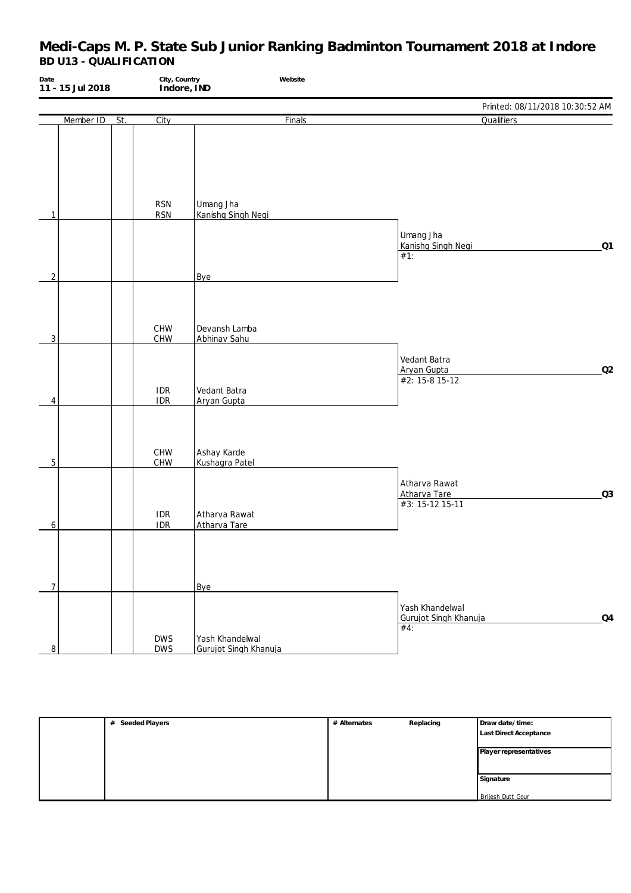| Date                | 11 - 15 Jul 2018 |     | City, Country<br>Indore, IND | Website                                  |                                                                    |
|---------------------|------------------|-----|------------------------------|------------------------------------------|--------------------------------------------------------------------|
|                     |                  |     |                              |                                          | Printed: 08/11/2018 10:30:52 AM                                    |
|                     | Member ID        | St. | City                         | Finals                                   | Qualifiers                                                         |
| 1                   |                  |     | <b>RSN</b><br><b>RSN</b>     | Umang Jha<br>Kanishq Singh Negi          |                                                                    |
|                     |                  |     |                              |                                          | Umang Jha<br>Kanishq Singh Negi<br>Q1<br>#1:                       |
| $\overline{2}$<br>3 |                  |     | CHW<br>CHW                   | Bye<br>Devansh Lamba<br>Abhinav Sahu     |                                                                    |
| 4                   |                  |     | <b>IDR</b><br>IDR            | Vedant Batra<br>Aryan Gupta              | Vedant Batra<br>Q2<br>Aryan Gupta<br>#2: 15-8 15-12                |
| $\mathbf 5$         |                  |     | CHW<br>CHW                   | Ashay Karde<br>Kushagra Patel            |                                                                    |
| 6                   |                  |     | <b>IDR</b><br><b>IDR</b>     | Atharva Rawat<br>Atharva Tare            | Atharva Rawat<br>Q <sub>3</sub><br>Atharva Tare<br>#3: 15-12 15-11 |
| $\overline{7}$      |                  |     |                              | Bye                                      |                                                                    |
| 8                   |                  |     | <b>DWS</b><br><b>DWS</b>     | Yash Khandelwal<br>Gurujot Singh Khanuja | Yash Khandelwal<br>Gurujot Singh Khanuja<br>Q <sub>4</sub><br>#4:  |

| # Seeded Players | # Alternates | Replacing | Draw date/time:        |
|------------------|--------------|-----------|------------------------|
|                  |              |           | Last Direct Acceptance |
|                  |              |           | Player representatives |
|                  |              |           |                        |
|                  |              |           | Signature              |
|                  |              |           | Brijesh Dutt Gour      |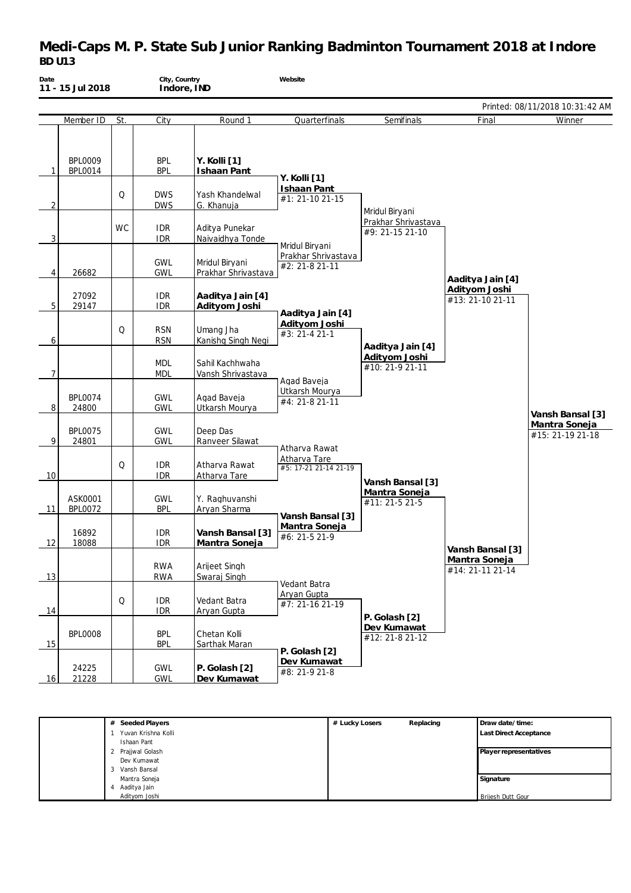# **Medi-Caps M. P. State Sub Junior Ranking Badminton Tournament 2018 at Indore** *BD U13*

| Date         | 11 - 15 Jul 2018                 |           | City, Country<br>Indore, IND |                                       | Website                               |                                        |                                   |                                   |
|--------------|----------------------------------|-----------|------------------------------|---------------------------------------|---------------------------------------|----------------------------------------|-----------------------------------|-----------------------------------|
|              |                                  |           |                              |                                       |                                       |                                        |                                   | Printed: 08/11/2018 10:31:42 AM   |
|              | Member ID                        | St.       | City                         | Round 1                               | Quarterfinals                         | Semifinals                             | Final                             | Winner                            |
| $\mathbf{1}$ | <b>BPL0009</b><br><b>BPL0014</b> |           | <b>BPL</b><br><b>BPL</b>     | Y. Kolli [1]<br>Ishaan Pant           | Y. Kolli [1]                          |                                        |                                   |                                   |
| 2            |                                  | Q         | <b>DWS</b><br><b>DWS</b>     | Yash Khandelwal<br>G. Khanuja         | <b>Ishaan Pant</b><br>#1: 21-10 21-15 | Mridul Biryani                         |                                   |                                   |
| 3            |                                  | <b>WC</b> | <b>IDR</b><br><b>IDR</b>     | Aditya Punekar<br>Naivaidhya Tonde    | Mridul Biryani                        | Prakhar Shrivastava<br>#9: 21-15 21-10 |                                   |                                   |
| 4            | 26682                            |           | <b>GWL</b><br><b>GWL</b>     | Mridul Biryani<br>Prakhar Shrivastava | Prakhar Shrivastava<br>#2: 21-8 21-11 |                                        | Aaditya Jain [4]                  |                                   |
| 5            | 27092<br>29147                   |           | <b>IDR</b><br><b>IDR</b>     | Aaditya Jain [4]<br>Adityom Joshi     | Aaditya Jain [4]                      |                                        | Adityom Joshi<br>#13: 21-10 21-11 |                                   |
| 6            |                                  | Q         | <b>RSN</b><br><b>RSN</b>     | Umang Jha<br>Kanishq Singh Negi       | Adityom Joshi<br>#3: 21-4 21-1        | Aaditya Jain [4]                       |                                   |                                   |
| 7            |                                  |           | <b>MDL</b><br><b>MDL</b>     | Sahil Kachhwaha<br>Vansh Shrivastava  | Agad Baveja                           | Adityom Joshi<br>#10: 21-9 21-11       |                                   |                                   |
| 8            | <b>BPL0074</b><br>24800          |           | <b>GWL</b><br><b>GWL</b>     | Agad Baveja<br>Utkarsh Mourya         | Utkarsh Mourya<br>#4: 21-8 21-11      |                                        |                                   | Vansh Bansal [3]                  |
| 9            | <b>BPL0075</b><br>24801          |           | <b>GWL</b><br><b>GWL</b>     | Deep Das<br>Ranveer Silawat           | Atharva Rawat                         |                                        |                                   | Mantra Soneja<br>#15: 21-19 21-18 |
| 10           |                                  | Q         | <b>IDR</b><br><b>IDR</b>     | Atharva Rawat<br>Atharva Tare         | Atharva Tare<br>#5: 17-21 21-14 21-19 | Vansh Bansal [3]                       |                                   |                                   |
| 11           | ASK0001<br><b>BPL0072</b>        |           | <b>GWL</b><br><b>BPL</b>     | Y. Raghuvanshi<br>Aryan Sharma        | Vansh Bansal [3]                      | Mantra Soneja<br>#11: 21-5 21-5        |                                   |                                   |
| 12           | 16892<br>18088                   |           | <b>IDR</b><br><b>IDR</b>     | Vansh Bansal [3]<br>Mantra Soneja     | Mantra Soneja<br>#6: 21-5 21-9        |                                        | Vansh Bansal [3]                  |                                   |
| 13           |                                  |           | <b>RWA</b><br><b>RWA</b>     | Arijeet Singh<br>Swaraj Singh         | Vedant Batra                          |                                        | Mantra Soneja<br>#14: 21-11 21-14 |                                   |
| 14           |                                  | Q         | <b>IDR</b><br><b>IDR</b>     | Vedant Batra<br>Aryan Gupta           | Aryan Gupta<br>#7: 21-16 21-19        | P. Golash [2]                          |                                   |                                   |
| 15           | <b>BPL0008</b>                   |           | <b>BPL</b><br><b>BPL</b>     | Chetan Kolli<br>Sarthak Maran         | P. Golash [2]                         | Dev Kumawat<br>#12: 21-8 21-12         |                                   |                                   |
| 16           | 24225<br>21228                   |           | GWL<br><b>GWL</b>            | P. Golash [2]<br>Dev Kumawat          | Dev Kumawat<br>#8: 21-9 21-8          |                                        |                                   |                                   |

| # Seeded Players    | # Lucky Losers | Replacing | Draw date/time:               |
|---------------------|----------------|-----------|-------------------------------|
| Yuvan Krishna Kolli |                |           | <b>Last Direct Acceptance</b> |
| Ishaan Pant         |                |           |                               |
| 2 Prajjwal Golash   |                |           | Player representatives        |
| Dev Kumawat         |                |           |                               |
| 3 Vansh Bansal      |                |           |                               |
| Mantra Soneja       |                |           | Signature                     |
| Aaditya Jain<br>4   |                |           |                               |
| Adityom Joshi       |                |           | <b>Brijesh Dutt Gour</b>      |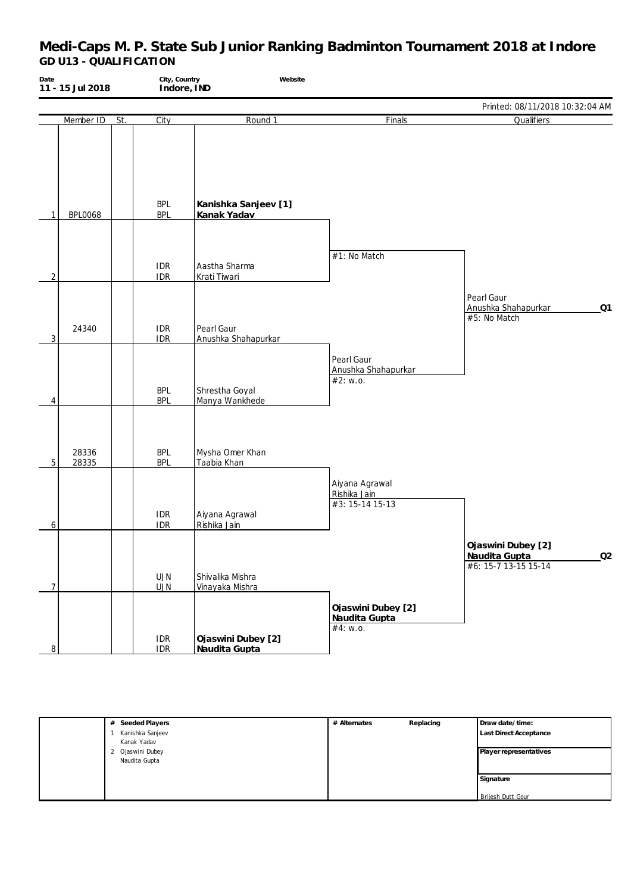| Date | 11 - 15 Jul 2018 |     | City, Country<br>Indore, IND | Website                             |                                                   |                                                                   |
|------|------------------|-----|------------------------------|-------------------------------------|---------------------------------------------------|-------------------------------------------------------------------|
|      |                  |     |                              |                                     |                                                   | Printed: 08/11/2018 10:32:04 AM                                   |
|      | Member ID        | St. | City                         | Round 1                             | Finals                                            | Qualifiers                                                        |
| 1    | <b>BPL0068</b>   |     | <b>BPL</b><br><b>BPL</b>     | Kanishka Sanjeev [1]<br>Kanak Yadav |                                                   |                                                                   |
| 2    |                  |     | <b>IDR</b><br><b>IDR</b>     | Aastha Sharma<br>Krati Tiwari       | #1: No Match                                      |                                                                   |
| 3    | 24340            |     | <b>IDR</b><br><b>IDR</b>     | Pearl Gaur<br>Anushka Shahapurkar   |                                                   | Pearl Gaur<br>Anushka Shahapurkar<br>Q1<br>#5: No Match           |
| 4    |                  |     | <b>BPL</b><br><b>BPL</b>     | Shrestha Goyal<br>Manya Wankhede    | Pearl Gaur<br>Anushka Shahapurkar<br>#2: w.o.     |                                                                   |
| 5    | 28336<br>28335   |     | <b>BPL</b><br><b>BPL</b>     | Mysha Omer Khan<br>Taabia Khan      |                                                   |                                                                   |
| 6    |                  |     | <b>IDR</b><br><b>IDR</b>     | Aiyana Agrawal<br>Rishika Jain      | Aiyana Agrawal<br>Rishika Jain<br>#3: 15-14 15-13 |                                                                   |
| 7    |                  |     | <b>UJN</b><br><b>UJN</b>     | Shivalika Mishra<br>Vinayaka Mishra |                                                   | Ojaswini Dubey [2]<br>Q2<br>Naudita Gupta<br>#6: 15-7 13-15 15-14 |
| 8    |                  |     | <b>IDR</b><br><b>IDR</b>     | Ojaswini Dubey [2]<br>Naudita Gupta | Ojaswini Dubey [2]<br>Naudita Gupta<br>#4: $w.o.$ |                                                                   |

| # Seeded Players | # Alternates | Replacing | Draw date/time:               |
|------------------|--------------|-----------|-------------------------------|
| Kanishka Sanjeev |              |           | <b>Last Direct Acceptance</b> |
| Kanak Yadav      |              |           |                               |
| 2 Ojaswini Dubey |              |           | Player representatives        |
| Naudita Gupta    |              |           |                               |
|                  |              |           |                               |
|                  |              |           | Signature                     |
|                  |              |           |                               |
|                  |              |           | Brijesh Dutt Gour             |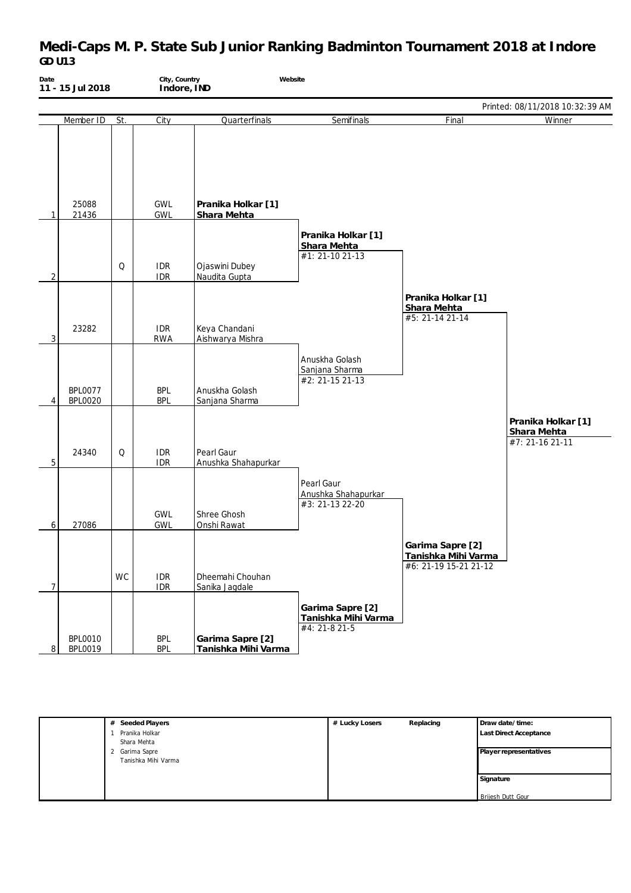# **Medi-Caps M. P. State Sub Junior Ranking Badminton Tournament 2018 at Indore** *GD U13*

| Date | 11 - 15 Jul 2018                 |           | City, Country<br>Indore, IND | Website                                 |                                                          |                                                                  |                                                      |
|------|----------------------------------|-----------|------------------------------|-----------------------------------------|----------------------------------------------------------|------------------------------------------------------------------|------------------------------------------------------|
|      |                                  |           |                              |                                         |                                                          |                                                                  | Printed: 08/11/2018 10:32:39 AM                      |
|      | Member ID                        | St.       | City                         | Quarterfinals                           | Semifinals                                               | Final                                                            | Winner                                               |
| 1    | 25088<br>21436                   |           | <b>GWL</b><br><b>GWL</b>     | Pranika Holkar [1]<br>Shara Mehta       |                                                          |                                                                  |                                                      |
| 2    |                                  | Q         | <b>IDR</b><br><b>IDR</b>     | Ojaswini Dubey<br>Naudita Gupta         | Pranika Holkar [1]<br>Shara Mehta<br>#1: 21-10 21-13     |                                                                  |                                                      |
| 3    | 23282                            |           | <b>IDR</b><br><b>RWA</b>     | Keya Chandani<br>Aishwarya Mishra       |                                                          | Pranika Holkar [1]<br>Shara Mehta<br>#5: 21-14 21-14             |                                                      |
| 4    | <b>BPL0077</b><br><b>BPL0020</b> |           | <b>BPL</b><br><b>BPL</b>     | Anuskha Golash<br>Sanjana Sharma        | Anuskha Golash<br>Sanjana Sharma<br>$#2: 21-15 21-13$    |                                                                  |                                                      |
| 5    | 24340                            | Q         | <b>IDR</b><br><b>IDR</b>     | Pearl Gaur<br>Anushka Shahapurkar       |                                                          |                                                                  | Pranika Holkar [1]<br>Shara Mehta<br>#7: 21-16 21-11 |
| 6    | 27086                            |           | <b>GWL</b><br>GWL            | Shree Ghosh<br>Onshi Rawat              | Pearl Gaur<br>Anushka Shahapurkar<br>#3: 21-13 22-20     |                                                                  |                                                      |
| 7    |                                  | <b>WC</b> | <b>IDR</b><br><b>IDR</b>     | Dheemahi Chouhan<br>Sanika Jagdale      |                                                          | Garima Sapre [2]<br>Tanishka Mihi Varma<br>#6: 21-19 15-21 21-12 |                                                      |
| 8    | <b>BPL0010</b><br><b>BPL0019</b> |           | <b>BPL</b><br><b>BPL</b>     | Garima Sapre [2]<br>Tanishka Mihi Varma | Garima Sapre [2]<br>Tanishka Mihi Varma<br>#4: 21-8 21-5 |                                                                  |                                                      |

| Seeded Players<br># | # Lucky Losers | Replacing | Draw date/time:               |
|---------------------|----------------|-----------|-------------------------------|
| Pranika Holkar      |                |           | <b>Last Direct Acceptance</b> |
| Shara Mehta         |                |           |                               |
| Garima Sapre        |                |           | Player representatives        |
| Tanishka Mihi Varma |                |           |                               |
|                     |                |           |                               |
|                     |                |           | Signature                     |
|                     |                |           |                               |
|                     |                |           | Brijesh Dutt Gour             |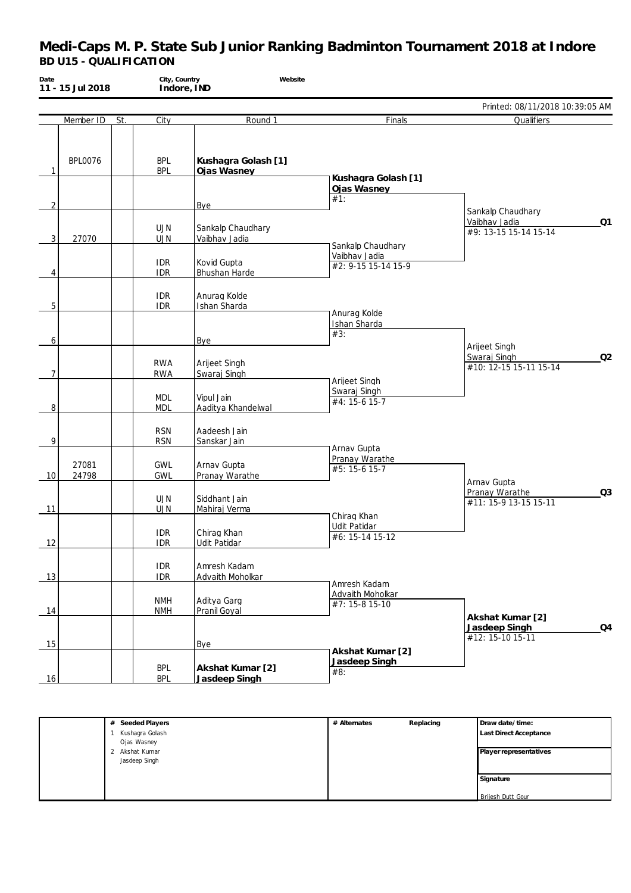| Date           | 11 - 15 Jul 2018 | City, Country            | Website<br>Indore, IND             |                                                           |                                                               |
|----------------|------------------|--------------------------|------------------------------------|-----------------------------------------------------------|---------------------------------------------------------------|
|                |                  |                          |                                    |                                                           | Printed: 08/11/2018 10:39:05 AM                               |
|                | Member ID<br>St. | City                     | Round 1                            | Finals                                                    | Qualifiers                                                    |
| 1              | <b>BPL0076</b>   | <b>BPL</b><br><b>BPL</b> | Kushagra Golash [1]<br>Ojas Wasney | Kushagra Golash [1]                                       |                                                               |
| 2              |                  |                          | Bye                                | Ojas Wasney<br>#1:                                        | Sankalp Chaudhary                                             |
| 3              | 27070            | <b>UJN</b><br><b>UJN</b> | Sankalp Chaudhary<br>Vaibhav Jadia |                                                           | Vaibhav Jadia<br>Q1<br>#9: 13-15 15-14 15-14                  |
| 4              |                  | <b>IDR</b><br><b>IDR</b> | Kovid Gupta<br>Bhushan Harde       | Sankalp Chaudhary<br>Vaibhav Jadia<br>#2: 9-15 15-14 15-9 |                                                               |
| 5              |                  | <b>IDR</b><br><b>IDR</b> | Anurag Kolde<br>Ishan Sharda       |                                                           |                                                               |
| 6              |                  |                          | Bye                                | Anurag Kolde<br>Ishan Sharda<br>#3:                       |                                                               |
| $\overline{7}$ |                  | <b>RWA</b><br><b>RWA</b> | Arijeet Singh<br>Swaraj Singh      |                                                           | Arijeet Singh<br>Q2<br>Swaraj Singh<br>#10: 12-15 15-11 15-14 |
| 8              |                  | <b>MDL</b><br><b>MDL</b> | Vipul Jain<br>Aaditya Khandelwal   | Arijeet Singh<br>Swaraj Singh<br>#4: 15-6 15-7            |                                                               |
| 9              |                  | <b>RSN</b><br><b>RSN</b> | Aadeesh Jain<br>Sanskar Jain       |                                                           |                                                               |
| 10             | 27081<br>24798   | <b>GWL</b><br><b>GWL</b> | Arnav Gupta<br>Pranay Warathe      | Arnav Gupta<br>Pranay Warathe<br>#5: 15-6 15-7            | Arnav Gupta                                                   |
| 11             |                  | <b>UJN</b><br><b>UJN</b> | Siddhant Jain<br>Mahiraj Verma     | Chirag Khan                                               | Q3<br>Pranay Warathe<br>#11: 15-9 13-15 15-11                 |
| 12             |                  | <b>IDR</b><br><b>IDR</b> | Chirag Khan<br>Udit Patidar        | Udit Patidar<br>#6: 15-14 15-12                           |                                                               |
| 13             |                  | <b>IDR</b><br><b>IDR</b> | Amresh Kadam<br>Advaith Moholkar   | Amresh Kadam                                              |                                                               |
| 14             |                  | <b>NMH</b><br><b>NMH</b> | Aditya Garg<br>Pranil Goyal        | Advaith Moholkar<br>#7: 15-8 15-10                        | Akshat Kumar [2]                                              |
| 15             |                  |                          | Bye                                | Akshat Kumar [2]                                          | Q4<br>Jasdeep Singh<br>#12: 15-10 15-11                       |
| 16             |                  | <b>BPL</b><br><b>BPL</b> | Akshat Kumar [2]<br>Jasdeep Singh  | Jasdeep Singh<br>#8:                                      |                                                               |

| # Seeded Players | # Alternates | Replacing | Draw date/time:        |
|------------------|--------------|-----------|------------------------|
| Kushagra Golash  |              |           | Last Direct Acceptance |
| Ojas Wasney      |              |           |                        |
| 2 Akshat Kumar   |              |           | Player representatives |
| Jasdeep Singh    |              |           |                        |
|                  |              |           |                        |
|                  |              |           | Signature              |
|                  |              |           |                        |
|                  |              |           | Brijesh Dutt Gour      |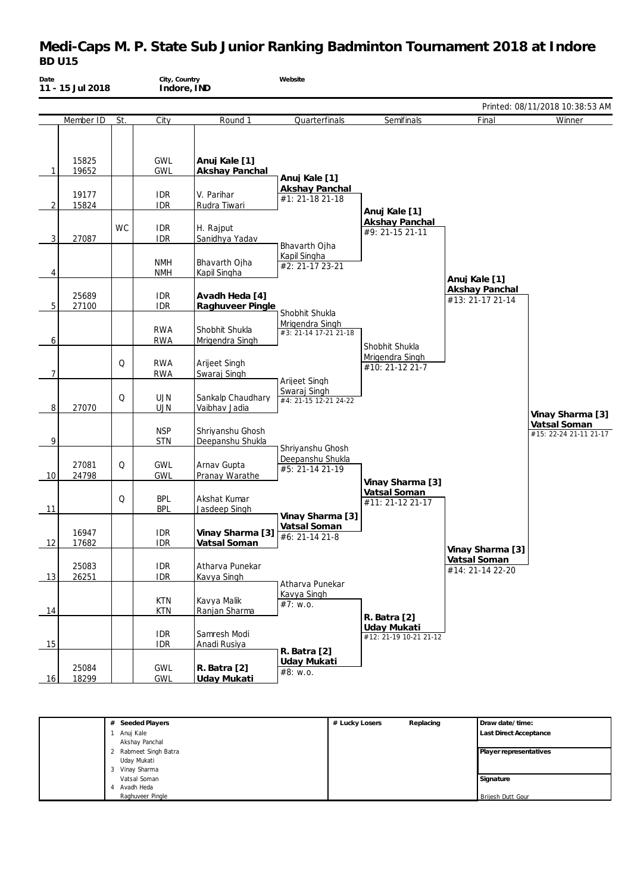# **Medi-Caps M. P. State Sub Junior Ranking Badminton Tournament 2018 at Indore** *BD U15*

| Date | 11 - 15 Jul 2018 |           | City, Country<br>Indore, IND |                                      | Website                                  |                                       |                                           |                                        |
|------|------------------|-----------|------------------------------|--------------------------------------|------------------------------------------|---------------------------------------|-------------------------------------------|----------------------------------------|
|      |                  |           |                              |                                      |                                          |                                       |                                           | Printed: 08/11/2018 10:38:53 AM        |
|      | Member ID        | St.       | City                         | Round 1                              | Quarterfinals                            | Semifinals                            | Final                                     | Winner                                 |
| 1    | 15825<br>19652   |           | <b>GWL</b><br><b>GWL</b>     | Anuj Kale [1]<br>Akshay Panchal      | Anuj Kale [1]                            |                                       |                                           |                                        |
| 2    | 19177<br>15824   |           | <b>IDR</b><br><b>IDR</b>     | V. Parihar<br>Rudra Tiwari           | <b>Akshay Panchal</b><br>#1: 21-18 21-18 | Anuj Kale [1]                         |                                           |                                        |
| 3    | 27087            | <b>WC</b> | <b>IDR</b><br><b>IDR</b>     | H. Rajput<br>Sanidhya Yadav          | Bhavarth Ojha                            | Akshay Panchal<br>#9: 21-15 21-11     |                                           |                                        |
| 4    |                  |           | <b>NMH</b><br><b>NMH</b>     | Bhavarth Ojha<br>Kapil Singha        | Kapil Singha<br>#2: 21-17 23-21          |                                       | Anuj Kale [1]                             |                                        |
| 5    | 25689<br>27100   |           | <b>IDR</b><br><b>IDR</b>     | Avadh Heda [4]<br>Raghuveer Pingle   | Shobhit Shukla                           |                                       | <b>Akshay Panchal</b><br>#13: 21-17 21-14 |                                        |
| 6    |                  |           | <b>RWA</b><br><b>RWA</b>     | Shobhit Shukla<br>Mrigendra Singh    | Mrigendra Singh<br>#3: 21-14 17-21 21-18 | Shobhit Shukla                        |                                           |                                        |
| 7    |                  | Q         | <b>RWA</b><br><b>RWA</b>     | Arijeet Singh<br>Swaraj Singh        | Arijeet Singh                            | Mrigendra Singh<br>#10: 21-12 21-7    |                                           |                                        |
| 8    | 27070            | Q         | <b>UJN</b><br><b>UJN</b>     | Sankalp Chaudhary<br>Vaibhav Jadia   | Swaraj Singh<br>#4: 21-15 12-21 24-22    |                                       |                                           | Vinay Sharma [3]                       |
| 9    |                  |           | <b>NSP</b><br><b>STN</b>     | Shriyanshu Ghosh<br>Deepanshu Shukla | Shriyanshu Ghosh                         |                                       |                                           | Vatsal Soman<br>#15: 22-24 21-11 21-17 |
| 10   | 27081<br>24798   | Q         | <b>GWL</b><br><b>GWL</b>     | Arnav Gupta<br>Pranay Warathe        | Deepanshu Shukla<br>#5: 21-14 21-19      | Vinay Sharma [3]                      |                                           |                                        |
| 11   |                  | Q         | <b>BPL</b><br><b>BPL</b>     | Akshat Kumar<br>Jasdeep Singh        | Vinay Sharma [3]                         | Vatsal Soman<br>#11: 21-12 21-17      |                                           |                                        |
| 12   | 16947<br>17682   |           | idr<br><b>IDR</b>            | Vinay Sharma [3]<br>Vatsal Soman     | <u>Vatsal Soman</u><br>#6: 21-14 21-8    |                                       | Vinay Sharma [3]                          |                                        |
| 13   | 25083<br>26251   |           | <b>IDR</b><br><b>IDR</b>     | Atharva Punekar<br>Kavya Singh       | Atharva Punekar                          |                                       | Vatsal Soman<br>#14: 21-14 22-20          |                                        |
| 14   |                  |           | <b>KTN</b><br><b>KTN</b>     | Kavya Malik<br>Ranjan Sharma         | Kavya Singh<br>#7: W.0.                  | R. Batra [2]                          |                                           |                                        |
| 15   |                  |           | <b>IDR</b><br><b>IDR</b>     | Samresh Modi<br>Anadi Rusiya         | R. Batra [2]                             | Uday Mukati<br>#12: 21-19 10-21 21-12 |                                           |                                        |
| 16   | 25084<br>18299   |           | <b>GWL</b><br><b>GWL</b>     | R. Batra [2]<br>Uday Mukati          | Uday Mukati<br>#8: w.o.                  |                                       |                                           |                                        |

| # Seeded Players      | # Lucky Losers | Replacing | Draw date/time:               |
|-----------------------|----------------|-----------|-------------------------------|
| Anuj Kale             |                |           | <b>Last Direct Acceptance</b> |
| Akshay Panchal        |                |           |                               |
| 2 Rabmeet Singh Batra |                |           | Player representatives        |
| Uday Mukati           |                |           |                               |
| Vinay Sharma<br>3     |                |           |                               |
| Vatsal Soman          |                |           | Signature                     |
| Avadh Heda<br>4       |                |           |                               |
| Raghuveer Pingle      |                |           | <b>Brijesh Dutt Gour</b>      |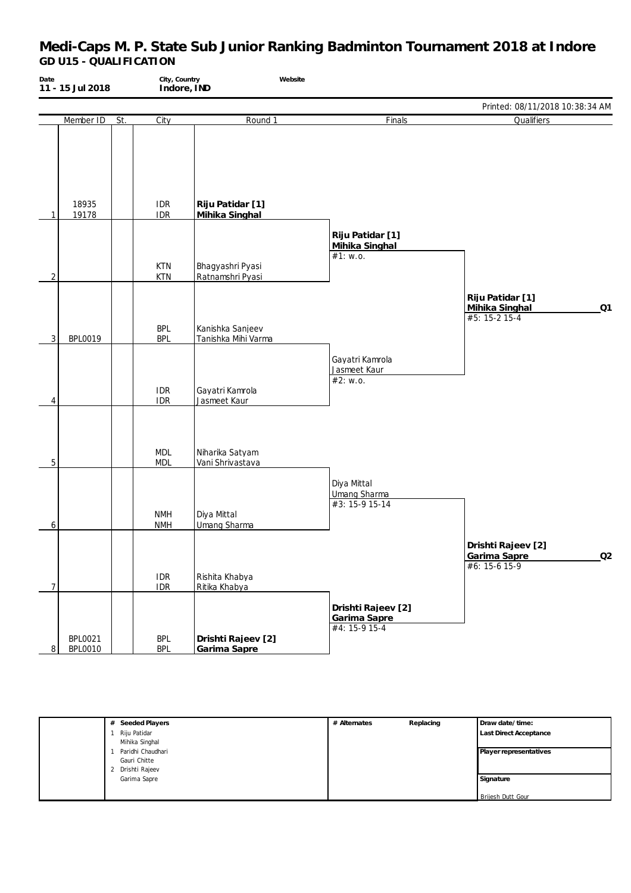| Date           | 11 - 15 Jul 2018                 |     | City, Country<br>Indore, IND | Website                                 |                                                      |                                                             |
|----------------|----------------------------------|-----|------------------------------|-----------------------------------------|------------------------------------------------------|-------------------------------------------------------------|
|                |                                  |     |                              |                                         |                                                      | Printed: 08/11/2018 10:38:34 AM                             |
|                | Member ID                        | St. | City                         | Round 1                                 | Finals                                               | Qualifiers                                                  |
| 1              | 18935<br>19178                   |     | <b>IDR</b><br><b>IDR</b>     | Riju Patidar [1]<br>Mihika Singhal      |                                                      |                                                             |
| $\overline{2}$ |                                  |     | <b>KTN</b><br><b>KTN</b>     | Bhagyashri Pyasi<br>Ratnamshri Pyasi    | Riju Patidar [1]<br>Mihika Singhal<br>#1: w.o.       |                                                             |
| 3 <sup>1</sup> | <b>BPL0019</b>                   |     | <b>BPL</b><br><b>BPL</b>     | Kanishka Sanjeev<br>Tanishka Mihi Varma |                                                      | Riju Patidar [1]<br>Mihika Singhal<br>Q1<br>$#5: 15-2 15-4$ |
| 4              |                                  |     | <b>IDR</b><br><b>IDR</b>     | Gayatri Kamrola<br>Jasmeet Kaur         | Gayatri Kamrola<br>Jasmeet Kaur<br>#2: w.o.          |                                                             |
| 5              |                                  |     | <b>MDL</b><br><b>MDL</b>     | Niharika Satyam<br>Vani Shrivastava     |                                                      |                                                             |
| 6              |                                  |     | <b>NMH</b><br><b>NMH</b>     | Diya Mittal<br><b>Umang Sharma</b>      | Diya Mittal<br><b>Umang Sharma</b><br>#3: 15-9 15-14 |                                                             |
| 7              |                                  |     | <b>IDR</b><br>IDR            | Rishita Khabya<br>Ritika Khabya         |                                                      | Drishti Rajeev [2]<br>Q2<br>Garima Sapre<br>#6: 15-6 15-9   |
| $\,8\,$        | <b>BPL0021</b><br><b>BPL0010</b> |     | <b>BPL</b><br><b>BPL</b>     | Drishti Rajeev [2]<br>Garima Sapre      | Drishti Rajeev [2]<br>Garima Sapre<br>$#4: 15-915-4$ |                                                             |

| # Seeded Players  | # Alternates | Replacing | Draw date/time:               |
|-------------------|--------------|-----------|-------------------------------|
| Riju Patidar      |              |           | <b>Last Direct Acceptance</b> |
| Mihika Singhal    |              |           |                               |
| Paridhi Chaudhari |              |           | Player representatives        |
| Gauri Chitte      |              |           |                               |
| 2 Drishti Rajeev  |              |           |                               |
| Garima Sapre      |              |           | Signature                     |
|                   |              |           |                               |
|                   |              |           | <b>Brijesh Dutt Gour</b>      |